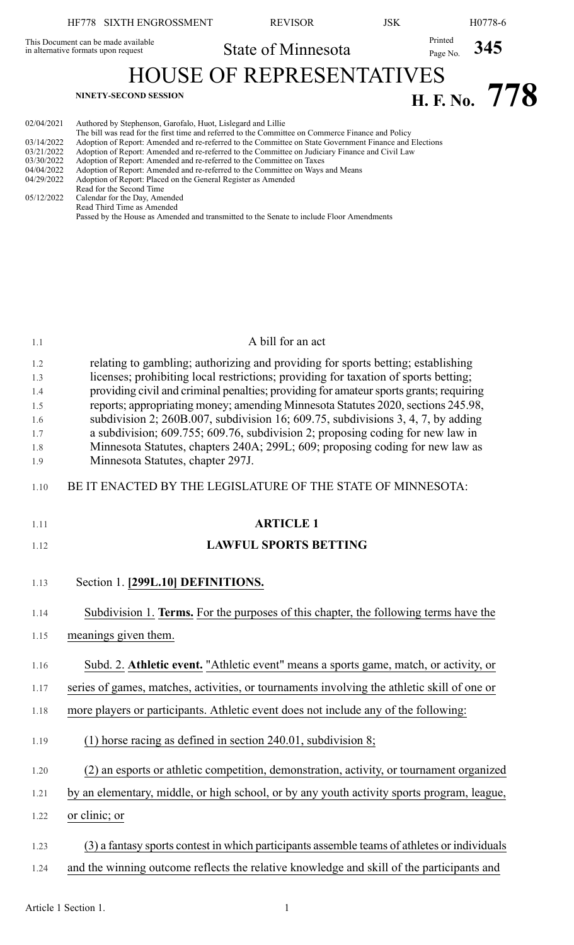# HF778 SIXTH ENGROSSMENT REVISOR JSK H0778-6 State of Minnesota<br>
Printed Page No. 345 This Document can be made available in alternative formats upon request HOUSE OF REPRESENTATIVES **H. F. NO.** 778 02/04/2021 Authored by Stephenson, Garofalo, Huot, Lislegard and Lillie The bill was read for the first time and referred to the Committee on Commerce Finance and Policy 03/14/2022 Adoption of Report: Amended and re-referred to the Committee on State Government Finance and Elections<br>03/21/2022 Adoption of Report: Amended and re-referred to the Committee on Judiciary Finance and Civil Law 03/21/2022 Adoption of Report: Amended and re-referred to the Committee on Judiciary Finance and Civil Law<br>03/30/2022 Adoption of Report: Amended and re-referred to the Committee on Taxes 03/30/2022 Adoption of Report: Amended and re-referred to the Committee on Taxes 04/04/2022 Adoption of Report: Amended and re-referred to the Committee on Ways 04/04/2022 Adoption of Report: Amended and re-referred to the Committee on Ways and Means 04/29/2022 Adoption of Report: Placed on the General Register as Amended Read for the Second Time 05/12/2022 Calendar for the Day, Amended Read Third Time as Amended Passed by the House as Amended and transmitted to the Senate to include Floor Amendments

| 1.1        | A bill for an act                                                                                                                                               |
|------------|-----------------------------------------------------------------------------------------------------------------------------------------------------------------|
| 1.2        | relating to gambling; authorizing and providing for sports betting; establishing                                                                                |
| 1.3        | licenses; prohibiting local restrictions; providing for taxation of sports betting;                                                                             |
| 1.4        | providing civil and criminal penalties; providing for amateur sports grants; requiring                                                                          |
| 1.5        | reports; appropriating money; amending Minnesota Statutes 2020, sections 245.98,                                                                                |
| 1.6        | subdivision 2; $260B.007$ , subdivision 16; $609.75$ , subdivisions 3, 4, 7, by adding                                                                          |
| 1.7        | a subdivision; 609.755; 609.76, subdivision 2; proposing coding for new law in<br>Minnesota Statutes, chapters 240A; 299L; 609; proposing coding for new law as |
| 1.8<br>1.9 | Minnesota Statutes, chapter 297J.                                                                                                                               |
| 1.10       | BE IT ENACTED BY THE LEGISLATURE OF THE STATE OF MINNESOTA:                                                                                                     |
| 1.11       | <b>ARTICLE 1</b>                                                                                                                                                |
| 1.12       | <b>LAWFUL SPORTS BETTING</b>                                                                                                                                    |
| 1.13       | Section 1. [299L.10] DEFINITIONS.                                                                                                                               |
|            |                                                                                                                                                                 |
| 1.14       | Subdivision 1. Terms. For the purposes of this chapter, the following terms have the                                                                            |
| 1.15       | meanings given them.                                                                                                                                            |
| 1.16       | Subd. 2. Athletic event. "Athletic event" means a sports game, match, or activity, or                                                                           |
| 1.17       | series of games, matches, activities, or tournaments involving the athletic skill of one or                                                                     |
| 1.18       | more players or participants. Athletic event does not include any of the following:                                                                             |
| 1.19       | $(1)$ horse racing as defined in section 240.01, subdivision 8;                                                                                                 |
| 1.20       | (2) an esports or athletic competition, demonstration, activity, or tournament organized                                                                        |
| 1.21       | by an elementary, middle, or high school, or by any youth activity sports program, league,                                                                      |
| 1.22       | or clinic; or                                                                                                                                                   |
| 1.23       | (3) a fantasy sports contest in which participants assemble teams of athletes or individuals                                                                    |
| 1.24       | and the winning outcome reflects the relative knowledge and skill of the participants and                                                                       |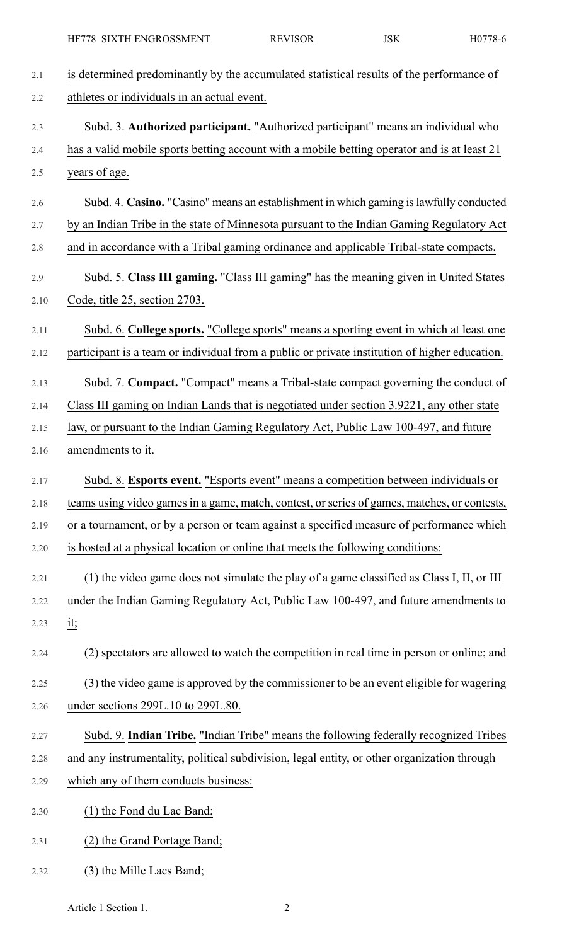| 2.1  | is determined predominantly by the accumulated statistical results of the performance of      |
|------|-----------------------------------------------------------------------------------------------|
| 2.2  | athletes or individuals in an actual event.                                                   |
| 2.3  | Subd. 3. Authorized participant. "Authorized participant" means an individual who             |
| 2.4  | has a valid mobile sports betting account with a mobile betting operator and is at least 21   |
| 2.5  | years of age.                                                                                 |
| 2.6  | Subd. 4. Casino. "Casino" means an establishment in which gaming is lawfully conducted        |
| 2.7  | by an Indian Tribe in the state of Minnesota pursuant to the Indian Gaming Regulatory Act     |
| 2.8  | and in accordance with a Tribal gaming ordinance and applicable Tribal-state compacts.        |
| 2.9  | Subd. 5. Class III gaming. "Class III gaming" has the meaning given in United States          |
| 2.10 | Code, title 25, section 2703.                                                                 |
| 2.11 | Subd. 6. College sports. "College sports" means a sporting event in which at least one        |
| 2.12 | participant is a team or individual from a public or private institution of higher education. |
| 2.13 | Subd. 7. Compact. "Compact" means a Tribal-state compact governing the conduct of             |
| 2.14 | Class III gaming on Indian Lands that is negotiated under section 3.9221, any other state     |
| 2.15 | law, or pursuant to the Indian Gaming Regulatory Act, Public Law 100-497, and future          |
| 2.16 | amendments to it.                                                                             |
| 2.17 | Subd. 8. Esports event. "Esports event" means a competition between individuals or            |
| 2.18 | teams using video games in a game, match, contest, or series of games, matches, or contests,  |
| 2.19 | or a tournament, or by a person or team against a specified measure of performance which      |
| 2.20 | is hosted at a physical location or online that meets the following conditions:               |
| 2.21 | (1) the video game does not simulate the play of a game classified as Class I, II, or III     |
| 2.22 | under the Indian Gaming Regulatory Act, Public Law 100-497, and future amendments to          |
| 2.23 | <u>it;</u>                                                                                    |
| 2.24 | (2) spectators are allowed to watch the competition in real time in person or online; and     |
| 2.25 | (3) the video game is approved by the commissioner to be an event eligible for wagering       |
| 2.26 | under sections 299L.10 to 299L.80.                                                            |
| 2.27 | Subd. 9. Indian Tribe. "Indian Tribe" means the following federally recognized Tribes         |
| 2.28 | and any instrumentality, political subdivision, legal entity, or other organization through   |
| 2.29 | which any of them conducts business:                                                          |
| 2.30 | (1) the Fond du Lac Band;                                                                     |
| 2.31 | (2) the Grand Portage Band;                                                                   |
| 2.32 | (3) the Mille Lacs Band;                                                                      |

Article 1 Section 1. 2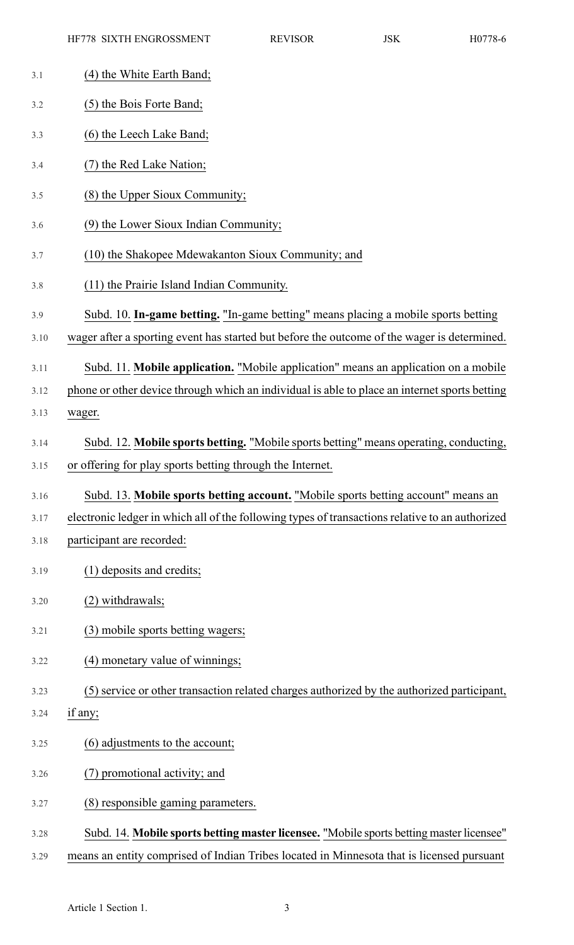- 3.1 (4) the White Earth Band; 3.2 (5) the Bois Forte Band; 3.3 (6) the Leech Lake Band; 3.4 (7) the Red Lake Nation; 3.5 (8) the Upper Sioux Community; 3.6 (9) the Lower Sioux Indian Community; 3.7 (10) the Shakopee Mdewakanton Sioux Community; and 3.8 (11) the Prairie Island Indian Community. 3.9 Subd. 10. **In-game betting.** "In-game betting" means placing a mobile sports betting 3.10 wager after a sporting event has started but before the outcome of the wager is determined. 3.11 Subd. 11. **Mobile application.** "Mobile application" means an application on a mobile 3.12 phone or other device through which an individual is able to place an internet sports betting 3.13 wager. 3.14 Subd. 12. **Mobile sports betting.** "Mobile sports betting" means operating, conducting, 3.15 or offering for play sports betting through the Internet. 3.16 Subd. 13. **Mobile sports betting account.** "Mobile sports betting account" means an 3.17 electronic ledger in which all of the following types of transactions relative to an authorized 3.18 participant are recorded: 3.19 (1) deposits and credits; 3.20 (2) withdrawals; 3.21 (3) mobile sports betting wagers; 3.22 (4) monetary value of winnings; 3.23 (5) service or other transaction related charges authorized by the authorized participant, 3.24 if any; 3.25 (6) adjustments to the account; 3.26 (7) promotional activity; and 3.27 (8) responsible gaming parameters. 3.28 Subd. 14. **Mobile sports betting master licensee.** "Mobile sports betting master licensee"
- 3.29 means an entity comprised of Indian Tribes located in Minnesota that is licensed pursuant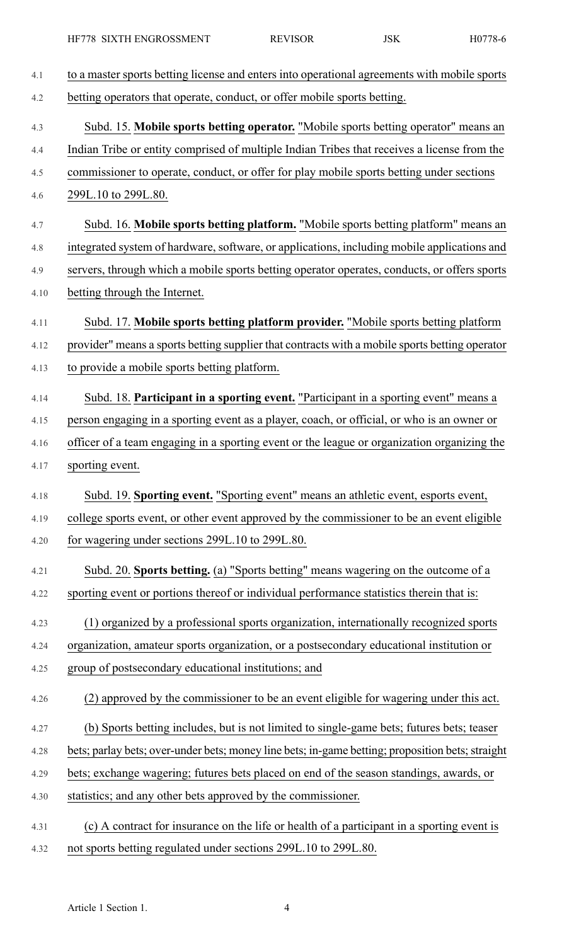| to a master sports betting license and enters into operational agreements with mobile sports     |
|--------------------------------------------------------------------------------------------------|
| betting operators that operate, conduct, or offer mobile sports betting.                         |
| Subd. 15. Mobile sports betting operator. "Mobile sports betting operator" means an              |
| Indian Tribe or entity comprised of multiple Indian Tribes that receives a license from the      |
| commissioner to operate, conduct, or offer for play mobile sports betting under sections         |
| 299L.10 to 299L.80.                                                                              |
| Subd. 16. Mobile sports betting platform. "Mobile sports betting platform" means an              |
| integrated system of hardware, software, or applications, including mobile applications and      |
| servers, through which a mobile sports betting operator operates, conducts, or offers sports     |
| betting through the Internet.                                                                    |
| Subd. 17. Mobile sports betting platform provider. "Mobile sports betting platform               |
| provider" means a sports betting supplier that contracts with a mobile sports betting operator   |
| to provide a mobile sports betting platform.                                                     |
| Subd. 18. Participant in a sporting event. "Participant in a sporting event" means a             |
| person engaging in a sporting event as a player, coach, or official, or who is an owner or       |
| officer of a team engaging in a sporting event or the league or organization organizing the      |
| sporting event.                                                                                  |
| Subd. 19. Sporting event. "Sporting event" means an athletic event, esports event,               |
| college sports event, or other event approved by the commissioner to be an event eligible        |
| for wagering under sections 299L.10 to 299L.80.                                                  |
| Subd. 20. Sports betting. (a) "Sports betting" means wagering on the outcome of a                |
| sporting event or portions thereof or individual performance statistics therein that is:         |
| (1) organized by a professional sports organization, internationally recognized sports           |
| organization, amateur sports organization, or a postsecondary educational institution or         |
| group of postsecondary educational institutions; and                                             |
| (2) approved by the commissioner to be an event eligible for wagering under this act.            |
| (b) Sports betting includes, but is not limited to single-game bets; futures bets; teaser        |
| bets; parlay bets; over-under bets; money line bets; in-game betting; proposition bets; straight |
| bets; exchange wagering; futures bets placed on end of the season standings, awards, or          |
| statistics; and any other bets approved by the commissioner.                                     |
| (c) A contract for insurance on the life or health of a participant in a sporting event is       |
| not sports betting regulated under sections 299L.10 to 299L.80.                                  |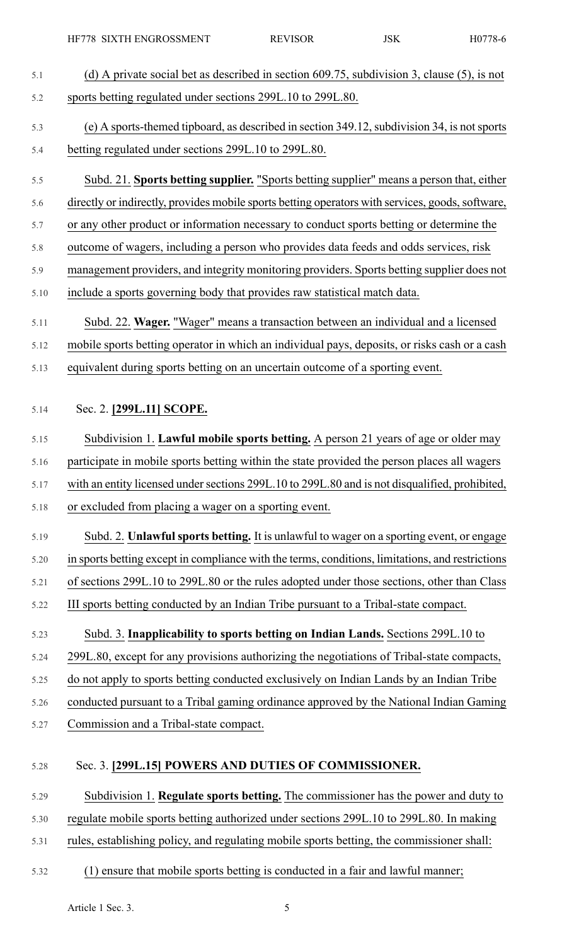- 5.1 (d) A private social bet as described in section 609.75, subdivision 3, clause (5), is not 5.2 sports betting regulated under sections 299L.10 to 299L.80.
- 5.3 (e) A sports-themed tipboard, as described in section 349.12,subdivision 34, is notsports 5.4 betting regulated under sections 299L.10 to 299L.80.
- 5.5 Subd. 21. **Sports betting supplier.** "Sports betting supplier" means a person that, either
- 5.6 directly or indirectly, provides mobile sports betting operators with services, goods, software,
- 5.7 or any other product or information necessary to conduct sports betting or determine the
- 5.8 outcome of wagers, including a person who provides data feeds and odds services, risk
- 5.9 management providers, and integrity monitoring providers. Sports betting supplier does not
- 5.10 include a sports governing body that provides raw statistical match data.
- 5.11 Subd. 22. **Wager.** "Wager" means a transaction between an individual and a licensed
- 5.12 mobile sports betting operator in which an individual pays, deposits, or risks cash or a cash
- 5.13 equivalent during sports betting on an uncertain outcome of a sporting event.
- 5.14 Sec. 2. **[299L.11] SCOPE.**
- 5.15 Subdivision 1. **Lawful mobile sports betting.** A person 21 years of age or older may
- 5.16 participate in mobile sports betting within the state provided the person places all wagers
- 5.17 with an entity licensed under sections 299L.10 to 299L.80 and is not disqualified, prohibited,
- 5.18 or excluded from placing a wager on a sporting event.
- 5.19 Subd. 2. **Unlawfulsports betting.** It is unlawful to wager on a sporting event, or engage 5.20 in sports betting except in compliance with the terms, conditions, limitations, and restrictions 5.21 of sections 299L.10 to 299L.80 or the rules adopted under those sections, other than Class 5.22 III sports betting conducted by an Indian Tribe pursuant to a Tribal-state compact.
- 5.23 Subd. 3. **Inapplicability to sports betting on Indian Lands.** Sections 299L.10 to 5.24 299L.80, except for any provisions authorizing the negotiations of Tribal-state compacts,
- 5.25 do not apply to sports betting conducted exclusively on Indian Lands by an Indian Tribe
- 5.26 conducted pursuant to a Tribal gaming ordinance approved by the National Indian Gaming
- 5.27 Commission and a Tribal-state compact.
- 5.28 Sec. 3. **[299L.15] POWERS AND DUTIES OF COMMISSIONER.**
- 5.29 Subdivision 1. **Regulate sports betting.** The commissioner has the power and duty to
- 5.30 regulate mobile sports betting authorized under sections 299L.10 to 299L.80. In making
- 5.31 rules, establishing policy, and regulating mobile sports betting, the commissioner shall:
- 5.32 (1) ensure that mobile sports betting is conducted in a fair and lawful manner;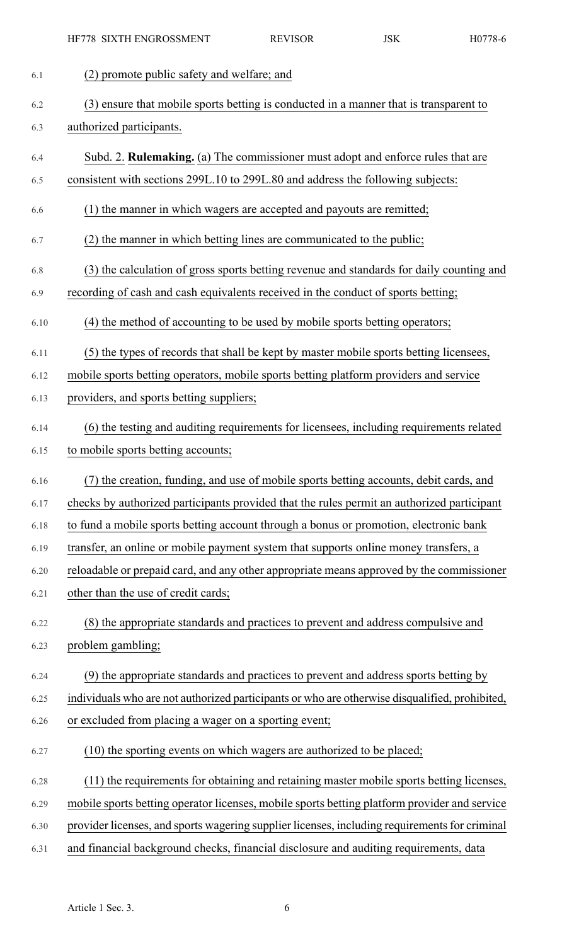| 6.1  | (2) promote public safety and welfare; and                                                     |
|------|------------------------------------------------------------------------------------------------|
| 6.2  | (3) ensure that mobile sports betting is conducted in a manner that is transparent to          |
| 6.3  | authorized participants.                                                                       |
| 6.4  | Subd. 2. <b>Rulemaking.</b> (a) The commissioner must adopt and enforce rules that are         |
| 6.5  | consistent with sections 299L.10 to 299L.80 and address the following subjects:                |
| 6.6  | (1) the manner in which wagers are accepted and payouts are remitted;                          |
| 6.7  | (2) the manner in which betting lines are communicated to the public;                          |
| 6.8  | (3) the calculation of gross sports betting revenue and standards for daily counting and       |
| 6.9  | recording of cash and cash equivalents received in the conduct of sports betting;              |
| 6.10 | (4) the method of accounting to be used by mobile sports betting operators;                    |
| 6.11 | (5) the types of records that shall be kept by master mobile sports betting licensees,         |
| 6.12 | mobile sports betting operators, mobile sports betting platform providers and service          |
| 6.13 | providers, and sports betting suppliers;                                                       |
| 6.14 | (6) the testing and auditing requirements for licensees, including requirements related        |
| 6.15 | to mobile sports betting accounts;                                                             |
| 6.16 | (7) the creation, funding, and use of mobile sports betting accounts, debit cards, and         |
| 6.17 | checks by authorized participants provided that the rules permit an authorized participant     |
| 6.18 | to fund a mobile sports betting account through a bonus or promotion, electronic bank          |
| 6.19 | transfer, an online or mobile payment system that supports online money transfers, a           |
| 6.20 | reloadable or prepaid card, and any other appropriate means approved by the commissioner       |
| 6.21 | other than the use of credit cards;                                                            |
| 6.22 | (8) the appropriate standards and practices to prevent and address compulsive and              |
| 6.23 | problem gambling;                                                                              |
| 6.24 | (9) the appropriate standards and practices to prevent and address sports betting by           |
| 6.25 | individuals who are not authorized participants or who are otherwise disqualified, prohibited, |
| 6.26 | or excluded from placing a wager on a sporting event;                                          |
| 6.27 | (10) the sporting events on which wagers are authorized to be placed;                          |
| 6.28 | (11) the requirements for obtaining and retaining master mobile sports betting licenses,       |
| 6.29 | mobile sports betting operator licenses, mobile sports betting platform provider and service   |
| 6.30 | provider licenses, and sports wagering supplier licenses, including requirements for criminal  |
| 6.31 | and financial background checks, financial disclosure and auditing requirements, data          |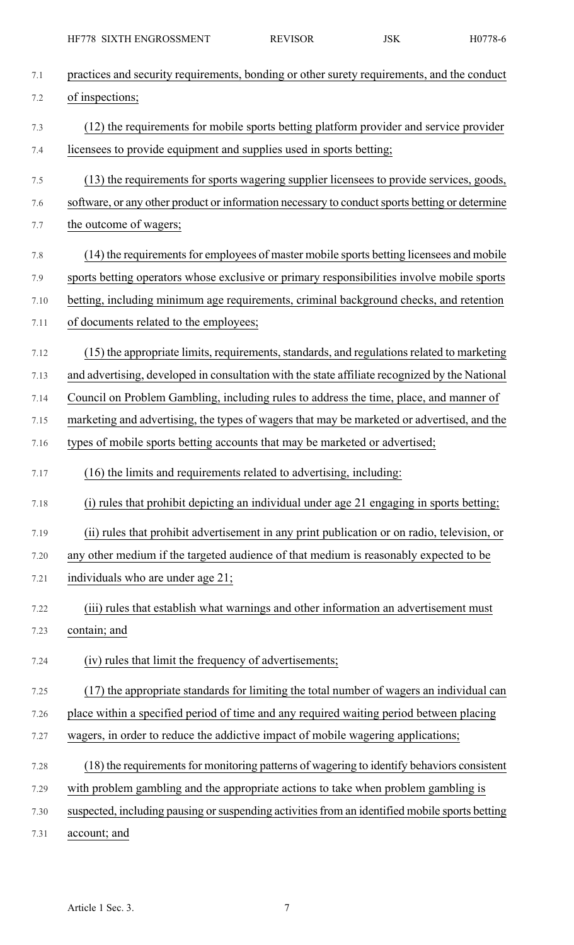| 7.1  | practices and security requirements, bonding or other surety requirements, and the conduct     |
|------|------------------------------------------------------------------------------------------------|
| 7.2  | of inspections;                                                                                |
| 7.3  | (12) the requirements for mobile sports betting platform provider and service provider         |
| 7.4  | licensees to provide equipment and supplies used in sports betting;                            |
| 7.5  | (13) the requirements for sports wagering supplier licensees to provide services, goods,       |
| 7.6  | software, or any other product or information necessary to conduct sports betting or determine |
| 7.7  | the outcome of wagers;                                                                         |
| 7.8  | (14) the requirements for employees of master mobile sports betting licensees and mobile       |
| 7.9  | sports betting operators whose exclusive or primary responsibilities involve mobile sports     |
| 7.10 | betting, including minimum age requirements, criminal background checks, and retention         |
| 7.11 | of documents related to the employees;                                                         |
| 7.12 | (15) the appropriate limits, requirements, standards, and regulations related to marketing     |
| 7.13 | and advertising, developed in consultation with the state affiliate recognized by the National |
| 7.14 | Council on Problem Gambling, including rules to address the time, place, and manner of         |
| 7.15 | marketing and advertising, the types of wagers that may be marketed or advertised, and the     |
| 7.16 | types of mobile sports betting accounts that may be marketed or advertised;                    |
|      |                                                                                                |
| 7.17 | (16) the limits and requirements related to advertising, including:                            |
| 7.18 | (i) rules that prohibit depicting an individual under age 21 engaging in sports betting;       |
| 7.19 | (ii) rules that prohibit advertisement in any print publication or on radio, television, or    |
| 7.20 | any other medium if the targeted audience of that medium is reasonably expected to be          |
| 7.21 | individuals who are under age 21;                                                              |
| 7.22 | (iii) rules that establish what warnings and other information an advertisement must           |
| 7.23 | contain; and                                                                                   |
| 7.24 | (iv) rules that limit the frequency of advertisements;                                         |
| 7.25 | (17) the appropriate standards for limiting the total number of wagers an individual can       |
| 7.26 | place within a specified period of time and any required waiting period between placing        |
| 7.27 | wagers, in order to reduce the addictive impact of mobile wagering applications;               |
| 7.28 | (18) the requirements for monitoring patterns of wagering to identify behaviors consistent     |
| 7.29 | with problem gambling and the appropriate actions to take when problem gambling is             |
| 7.30 | suspected, including pausing or suspending activities from an identified mobile sports betting |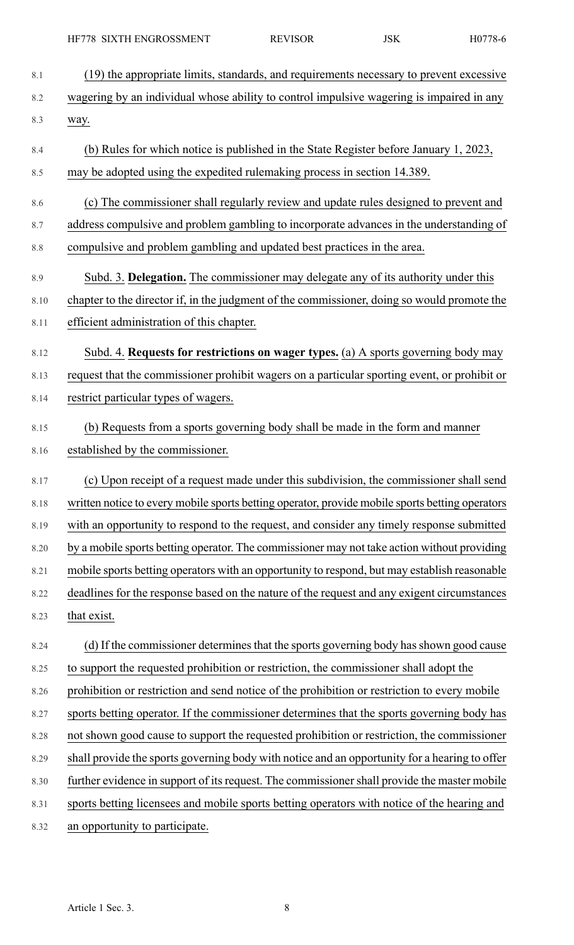8.1 (19) the appropriate limits, standards, and requirements necessary to prevent excessive 8.2 wagering by an individual whose ability to control impulsive wagering is impaired in any 8.3 way. 8.4 (b) Rules for which notice is published in the State Register before January 1, 2023, 8.5 may be adopted using the expedited rulemaking process in section 14.389. 8.6 (c) The commissioner shall regularly review and update rules designed to prevent and 8.7 address compulsive and problem gambling to incorporate advances in the understanding of 8.8 compulsive and problem gambling and updated best practices in the area. 8.9 Subd. 3. **Delegation.** The commissioner may delegate any of its authority under this 8.10 chapter to the director if, in the judgment of the commissioner, doing so would promote the 8.11 efficient administration of this chapter. 8.12 Subd. 4. **Requests for restrictions on wager types.** (a) A sports governing body may 8.13 request that the commissioner prohibit wagers on a particular sporting event, or prohibit or 8.14 restrict particular types of wagers. 8.15 (b) Requests from a sports governing body shall be made in the form and manner 8.16 established by the commissioner. 8.17 (c) Upon receipt of a request made under this subdivision, the commissioner shall send 8.18 written notice to every mobile sports betting operator, provide mobile sports betting operators 8.19 with an opportunity to respond to the request, and consider any timely response submitted 8.20 by a mobile sports betting operator. The commissioner may not take action without providing 8.21 mobile sports betting operators with an opportunity to respond, but may establish reasonable 8.22 deadlines for the response based on the nature of the request and any exigent circumstances 8.23 that exist. 8.24 (d) If the commissioner determines that the sports governing body has shown good cause 8.25 to support the requested prohibition or restriction, the commissioner shall adopt the 8.26 prohibition or restriction and send notice of the prohibition or restriction to every mobile 8.27 sports betting operator. If the commissioner determines that the sports governing body has 8.28 not shown good cause to support the requested prohibition or restriction, the commissioner 8.29 shall provide the sports governing body with notice and an opportunity for a hearing to offer 8.30 further evidence in support of its request. The commissioner shall provide the master mobile 8.31 sports betting licensees and mobile sports betting operators with notice of the hearing and 8.32 an opportunity to participate.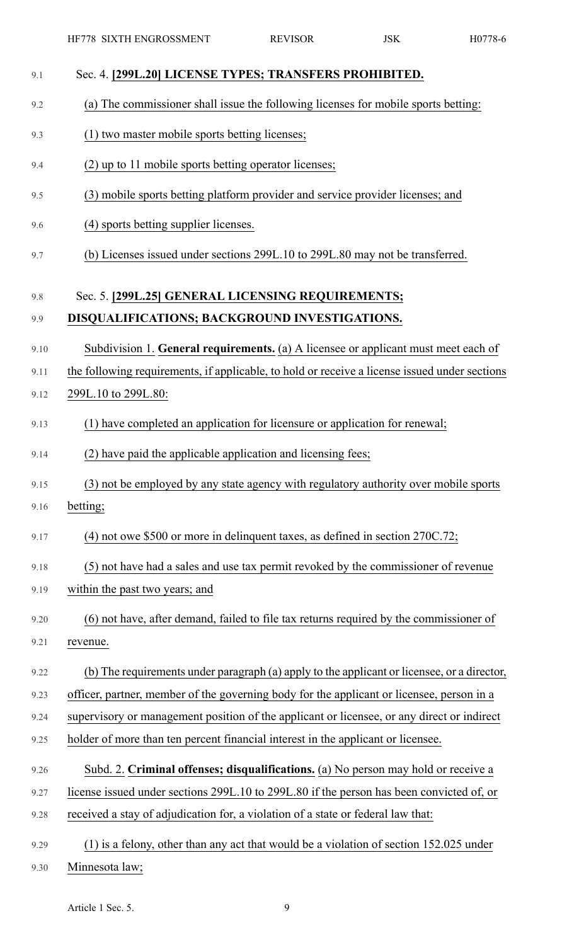| 9.1  | Sec. 4. [299L.20] LICENSE TYPES; TRANSFERS PROHIBITED.                                        |
|------|-----------------------------------------------------------------------------------------------|
| 9.2  | (a) The commissioner shall issue the following licenses for mobile sports betting:            |
| 9.3  | (1) two master mobile sports betting licenses;                                                |
| 9.4  | (2) up to 11 mobile sports betting operator licenses;                                         |
| 9.5  | (3) mobile sports betting platform provider and service provider licenses; and                |
| 9.6  | (4) sports betting supplier licenses.                                                         |
| 9.7  | (b) Licenses issued under sections 299L.10 to 299L.80 may not be transferred.                 |
| 9.8  | Sec. 5. [299L.25] GENERAL LICENSING REQUIREMENTS;                                             |
| 9.9  | DISQUALIFICATIONS; BACKGROUND INVESTIGATIONS.                                                 |
| 9.10 | Subdivision 1. General requirements. (a) A licensee or applicant must meet each of            |
| 9.11 | the following requirements, if applicable, to hold or receive a license issued under sections |
| 9.12 | 299L.10 to 299L.80:                                                                           |
| 9.13 | (1) have completed an application for licensure or application for renewal;                   |
| 9.14 | (2) have paid the applicable application and licensing fees;                                  |
| 9.15 | (3) not be employed by any state agency with regulatory authority over mobile sports          |
| 9.16 | betting;                                                                                      |
| 9.17 | $(4)$ not owe \$500 or more in delinquent taxes, as defined in section 270C.72;               |
| 9.18 | (5) not have had a sales and use tax permit revoked by the commissioner of revenue            |
| 9.19 | within the past two years; and                                                                |
| 9.20 | (6) not have, after demand, failed to file tax returns required by the commissioner of        |
| 9.21 | revenue.                                                                                      |
| 9.22 | (b) The requirements under paragraph (a) apply to the applicant or licensee, or a director,   |
| 9.23 | officer, partner, member of the governing body for the applicant or licensee, person in a     |
| 9.24 | supervisory or management position of the applicant or licensee, or any direct or indirect    |
| 9.25 | holder of more than ten percent financial interest in the applicant or licensee.              |
| 9.26 | Subd. 2. Criminal offenses; disqualifications. (a) No person may hold or receive a            |
| 9.27 | license issued under sections 299L.10 to 299L.80 if the person has been convicted of, or      |
| 9.28 | received a stay of adjudication for, a violation of a state or federal law that:              |
| 9.29 | $(1)$ is a felony, other than any act that would be a violation of section 152.025 under      |
| 9.30 | Minnesota law;                                                                                |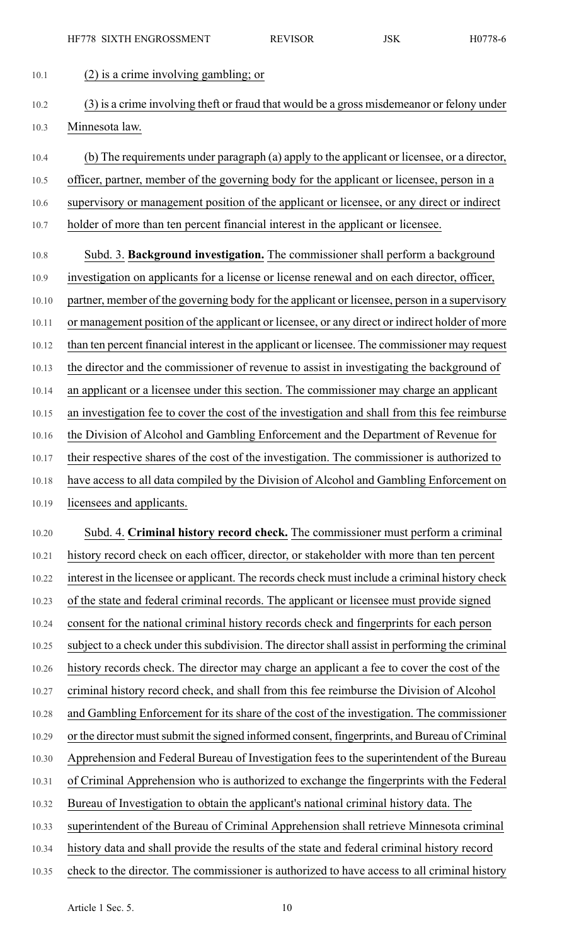10.1 (2) is a crime involving gambling; or

- 10.2 (3) is a crime involving theft or fraud that would be a gross misdemeanor or felony under 10.3 Minnesota law.
- 10.4 (b) The requirements under paragraph (a) apply to the applicant or licensee, or a director, 10.5 officer, partner, member of the governing body for the applicant or licensee, person in a 10.6 supervisory or management position of the applicant or licensee, or any direct or indirect 10.7 holder of more than ten percent financial interest in the applicant or licensee.
- 10.8 Subd. 3. **Background investigation.** The commissioner shall perform a background 10.9 investigation on applicants for a license or license renewal and on each director, officer, 10.10 partner, member of the governing body for the applicant or licensee, person in a supervisory 10.11 or management position of the applicant or licensee, or any direct or indirect holder of more 10.12 than ten percent financial interest in the applicant or licensee. The commissioner may request 10.13 the director and the commissioner of revenue to assist in investigating the background of 10.14 an applicant or a licensee under this section. The commissioner may charge an applicant 10.15 an investigation fee to cover the cost of the investigation and shall from this fee reimburse 10.16 the Division of Alcohol and Gambling Enforcement and the Department of Revenue for 10.17 their respective shares of the cost of the investigation. The commissioner is authorized to 10.18 have access to all data compiled by the Division of Alcohol and Gambling Enforcement on 10.19 licensees and applicants.
- 10.20 Subd. 4. **Criminal history record check.** The commissioner must perform a criminal 10.21 history record check on each officer, director, or stakeholder with more than ten percent 10.22 interest in the licensee or applicant. The records check must include a criminal history check 10.23 of the state and federal criminal records. The applicant or licensee must provide signed 10.24 consent for the national criminal history records check and fingerprints for each person 10.25 subject to a check under this subdivision. The director shall assist in performing the criminal 10.26 history records check. The director may charge an applicant a fee to cover the cost of the 10.27 criminal history record check, and shall from this fee reimburse the Division of Alcohol 10.28 and Gambling Enforcement for its share of the cost of the investigation. The commissioner 10.29 or the director must submit the signed informed consent, fingerprints, and Bureau of Criminal 10.30 Apprehension and Federal Bureau of Investigation fees to the superintendent of the Bureau 10.31 of Criminal Apprehension who is authorized to exchange the fingerprints with the Federal 10.32 Bureau of Investigation to obtain the applicant's national criminal history data. The 10.33 superintendent of the Bureau of Criminal Apprehension shall retrieve Minnesota criminal 10.34 history data and shall provide the results of the state and federal criminal history record
- 10.35 check to the director. The commissioner is authorized to have access to all criminal history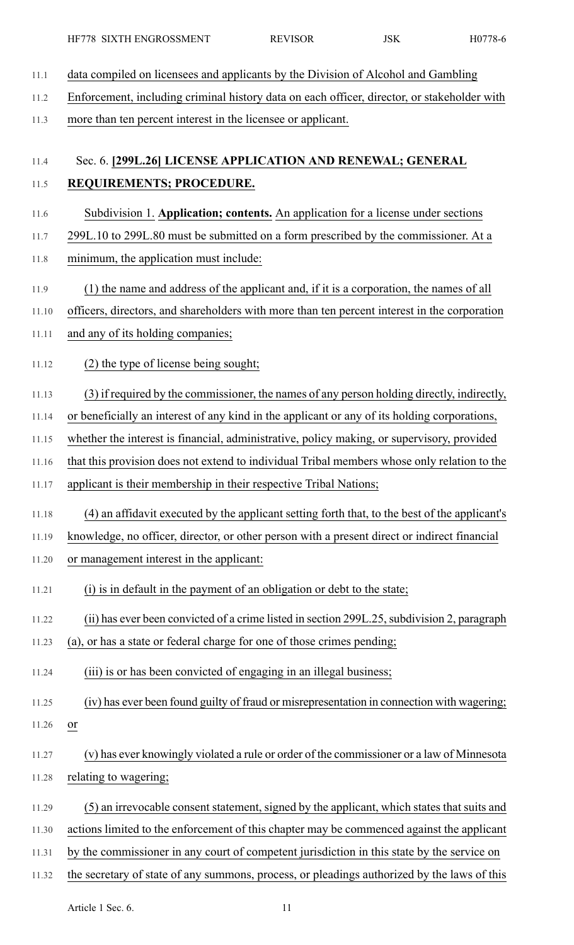| 11.1  | data compiled on licensees and applicants by the Division of Alcohol and Gambling             |
|-------|-----------------------------------------------------------------------------------------------|
| 11.2  | Enforcement, including criminal history data on each officer, director, or stakeholder with   |
| 11.3  | more than ten percent interest in the licensee or applicant.                                  |
|       |                                                                                               |
| 11.4  | Sec. 6. [299L.26] LICENSE APPLICATION AND RENEWAL; GENERAL                                    |
| 11.5  | REQUIREMENTS; PROCEDURE.                                                                      |
| 11.6  | Subdivision 1. Application; contents. An application for a license under sections             |
| 11.7  | 299L.10 to 299L.80 must be submitted on a form prescribed by the commissioner. At a           |
| 11.8  | minimum, the application must include:                                                        |
| 11.9  | (1) the name and address of the applicant and, if it is a corporation, the names of all       |
| 11.10 | officers, directors, and shareholders with more than ten percent interest in the corporation  |
| 11.11 | and any of its holding companies;                                                             |
| 11.12 | (2) the type of license being sought;                                                         |
| 11.13 | (3) if required by the commissioner, the names of any person holding directly, indirectly,    |
| 11.14 | or beneficially an interest of any kind in the applicant or any of its holding corporations,  |
| 11.15 | whether the interest is financial, administrative, policy making, or supervisory, provided    |
| 11.16 | that this provision does not extend to individual Tribal members whose only relation to the   |
| 11.17 | applicant is their membership in their respective Tribal Nations;                             |
| 11.18 | (4) an affidavit executed by the applicant setting forth that, to the best of the applicant's |
| 11.19 | knowledge, no officer, director, or other person with a present direct or indirect financial  |
| 11.20 | or management interest in the applicant:                                                      |
| 11.21 | (i) is in default in the payment of an obligation or debt to the state;                       |
| 11.22 | (ii) has ever been convicted of a crime listed in section 299L.25, subdivision 2, paragraph   |
| 11.23 | (a), or has a state or federal charge for one of those crimes pending;                        |
| 11.24 | (iii) is or has been convicted of engaging in an illegal business;                            |
| 11.25 | (iv) has ever been found guilty of fraud or misrepresentation in connection with wagering;    |
| 11.26 | or                                                                                            |
| 11.27 | (v) has ever knowingly violated a rule or order of the commissioner or a law of Minnesota     |
| 11.28 | relating to wagering;                                                                         |
| 11.29 | (5) an irrevocable consent statement, signed by the applicant, which states that suits and    |
| 11.30 | actions limited to the enforcement of this chapter may be commenced against the applicant     |
| 11.31 | by the commissioner in any court of competent jurisdiction in this state by the service on    |
| 11.32 | the secretary of state of any summons, process, or pleadings authorized by the laws of this   |

Article 1 Sec. 6. 11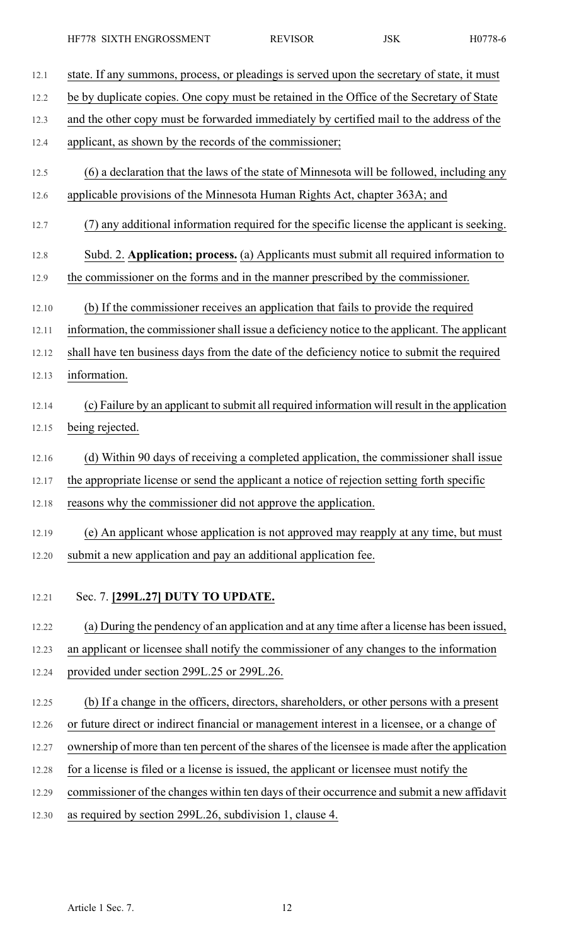| 12.1  | state. If any summons, process, or pleadings is served upon the secretary of state, it must    |
|-------|------------------------------------------------------------------------------------------------|
| 12.2  | be by duplicate copies. One copy must be retained in the Office of the Secretary of State      |
| 12.3  | and the other copy must be forwarded immediately by certified mail to the address of the       |
| 12.4  | applicant, as shown by the records of the commissioner;                                        |
| 12.5  | (6) a declaration that the laws of the state of Minnesota will be followed, including any      |
| 12.6  | applicable provisions of the Minnesota Human Rights Act, chapter 363A; and                     |
| 12.7  | any additional information required for the specific license the applicant is seeking.         |
| 12.8  | Subd. 2. Application; process. (a) Applicants must submit all required information to          |
| 12.9  | the commissioner on the forms and in the manner prescribed by the commissioner.                |
| 12.10 | (b) If the commissioner receives an application that fails to provide the required             |
| 12.11 | information, the commissioner shall issue a deficiency notice to the applicant. The applicant  |
| 12.12 | shall have ten business days from the date of the deficiency notice to submit the required     |
| 12.13 | information.                                                                                   |
| 12.14 | (c) Failure by an applicant to submit all required information will result in the application  |
| 12.15 | being rejected.                                                                                |
| 12.16 | (d) Within 90 days of receiving a completed application, the commissioner shall issue          |
| 12.17 | the appropriate license or send the applicant a notice of rejection setting forth specific     |
| 12.18 | reasons why the commissioner did not approve the application.                                  |
| 12.19 | (e) An applicant whose application is not approved may reapply at any time, but must           |
| 12.20 | submit a new application and pay an additional application fee.                                |
| 12.21 | Sec. 7. [299L.27] DUTY TO UPDATE.                                                              |
| 12.22 | (a) During the pendency of an application and at any time after a license has been issued,     |
| 12.23 | an applicant or licensee shall notify the commissioner of any changes to the information       |
| 12.24 | provided under section 299L.25 or 299L.26.                                                     |
| 12.25 | (b) If a change in the officers, directors, shareholders, or other persons with a present      |
| 12.26 | or future direct or indirect financial or management interest in a licensee, or a change of    |
| 12.27 | ownership of more than ten percent of the shares of the licensee is made after the application |
| 12.28 | for a license is filed or a license is issued, the applicant or licensee must notify the       |
| 12.29 | commissioner of the changes within ten days of their occurrence and submit a new affidavit     |
| 12.30 | as required by section 299L.26, subdivision 1, clause 4.                                       |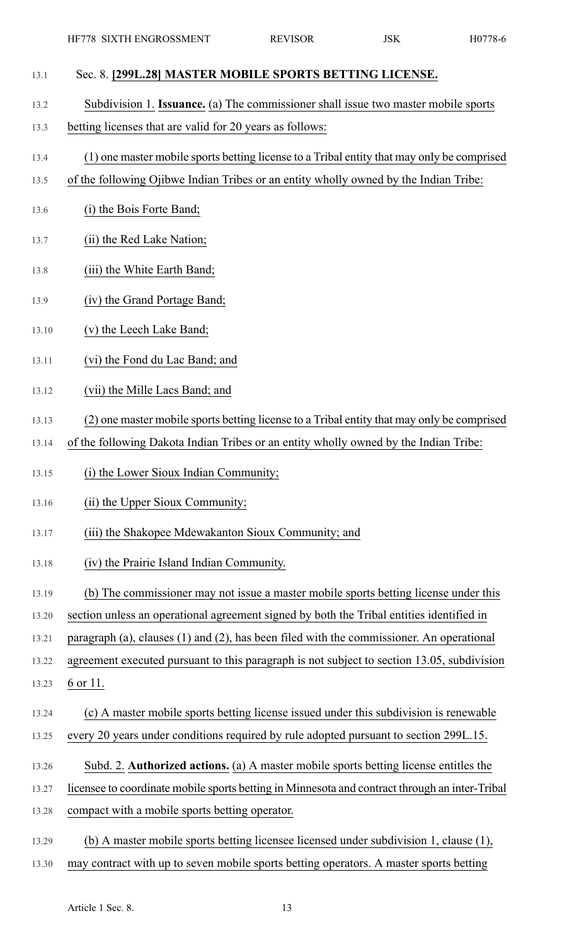- 13.1 Sec. 8. **[299L.28] MASTER MOBILE SPORTS BETTING LICENSE.** 13.2 Subdivision 1. **Issuance.** (a) The commissioner shall issue two master mobile sports 13.3 betting licenses that are valid for 20 years as follows: 13.4 (1) one master mobile sports betting license to a Tribal entity that may only be comprised 13.5 of the following Ojibwe Indian Tribes or an entity wholly owned by the Indian Tribe: 13.6 (i) the Bois Forte Band; 13.7 (ii) the Red Lake Nation; 13.8 (iii) the White Earth Band; 13.9 (iv) the Grand Portage Band; 13.10 (v) the Leech Lake Band; 13.11 (vi) the Fond du Lac Band; and 13.12 (vii) the Mille Lacs Band; and 13.13 (2) one master mobile sports betting license to a Tribal entity that may only be comprised 13.14 of the following Dakota Indian Tribes or an entity wholly owned by the Indian Tribe: 13.15 (i) the Lower Sioux Indian Community; 13.16 (ii) the Upper Sioux Community; 13.17 (iii) the Shakopee Mdewakanton Sioux Community; and 13.18 (iv) the Prairie Island Indian Community. 13.19 (b) The commissioner may not issue a master mobile sports betting license under this 13.20 section unless an operational agreement signed by both the Tribal entities identified in 13.21 paragraph (a), clauses (1) and (2), has been filed with the commissioner. An operational 13.22 agreement executed pursuant to this paragraph is not subject to section 13.05, subdivision 13.23 6 or 11. 13.24 (c) A master mobile sports betting license issued under this subdivision is renewable 13.25 every 20 years under conditions required by rule adopted pursuant to section 299L.15. 13.26 Subd. 2. **Authorized actions.** (a) A master mobile sports betting license entitles the 13.27 licensee to coordinate mobile sports betting in Minnesota and contract through an inter-Tribal 13.28 compact with a mobile sports betting operator. 13.29 (b) A master mobile sports betting licensee licensed under subdivision 1, clause (1),
- 13.30 may contract with up to seven mobile sports betting operators. A master sports betting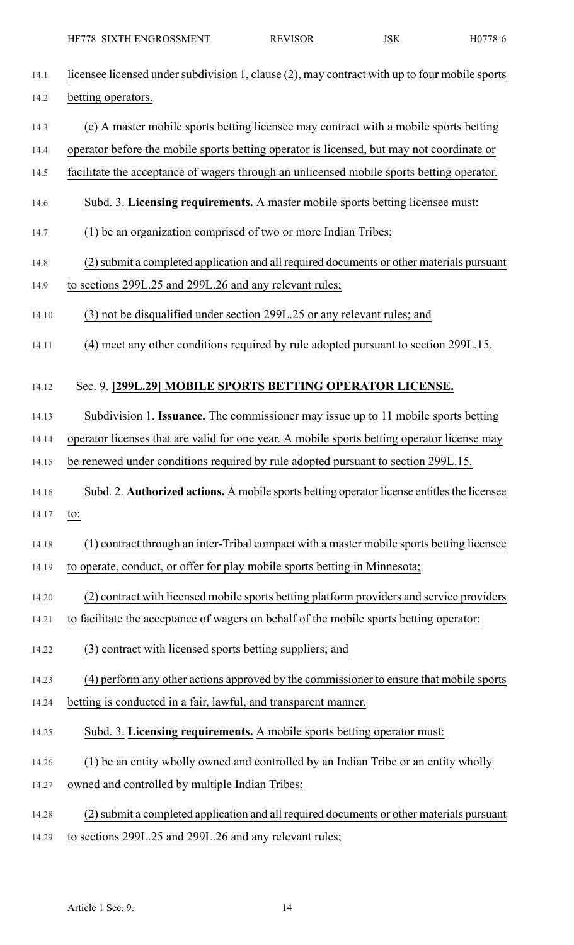| 14.1  | licensee licensed under subdivision 1, clause (2), may contract with up to four mobile sports |
|-------|-----------------------------------------------------------------------------------------------|
| 14.2  | betting operators.                                                                            |
| 14.3  | (c) A master mobile sports betting licensee may contract with a mobile sports betting         |
| 14.4  | operator before the mobile sports betting operator is licensed, but may not coordinate or     |
| 14.5  | facilitate the acceptance of wagers through an unlicensed mobile sports betting operator.     |
| 14.6  | Subd. 3. Licensing requirements. A master mobile sports betting licensee must:                |
| 14.7  | (1) be an organization comprised of two or more Indian Tribes;                                |
| 14.8  | (2) submit a completed application and all required documents or other materials pursuant     |
| 14.9  | to sections 299L.25 and 299L.26 and any relevant rules;                                       |
| 14.10 | (3) not be disqualified under section 299L.25 or any relevant rules; and                      |
| 14.11 | (4) meet any other conditions required by rule adopted pursuant to section 299L.15.           |
| 14.12 | Sec. 9. [299L.29] MOBILE SPORTS BETTING OPERATOR LICENSE.                                     |
| 14.13 | Subdivision 1. Issuance. The commissioner may issue up to 11 mobile sports betting            |
| 14.14 | operator licenses that are valid for one year. A mobile sports betting operator license may   |
| 14.15 | be renewed under conditions required by rule adopted pursuant to section 299L.15.             |
| 14.16 | Subd. 2. Authorized actions. A mobile sports betting operator license entitles the licensee   |
| 14.17 | to:                                                                                           |
| 14.18 | (1) contract through an inter-Tribal compact with a master mobile sports betting licensee     |
| 14.19 | to operate, conduct, or offer for play mobile sports betting in Minnesota;                    |
| 14.20 | (2) contract with licensed mobile sports betting platform providers and service providers     |
| 14.21 | to facilitate the acceptance of wagers on behalf of the mobile sports betting operator;       |
| 14.22 | (3) contract with licensed sports betting suppliers; and                                      |
| 14.23 | (4) perform any other actions approved by the commissioner to ensure that mobile sports       |
| 14.24 | betting is conducted in a fair, lawful, and transparent manner.                               |
| 14.25 | Subd. 3. Licensing requirements. A mobile sports betting operator must:                       |
| 14.26 | (1) be an entity wholly owned and controlled by an Indian Tribe or an entity wholly           |
| 14.27 | owned and controlled by multiple Indian Tribes;                                               |
| 14.28 | (2) submit a completed application and all required documents or other materials pursuant     |
| 14.29 | to sections 299L.25 and 299L.26 and any relevant rules;                                       |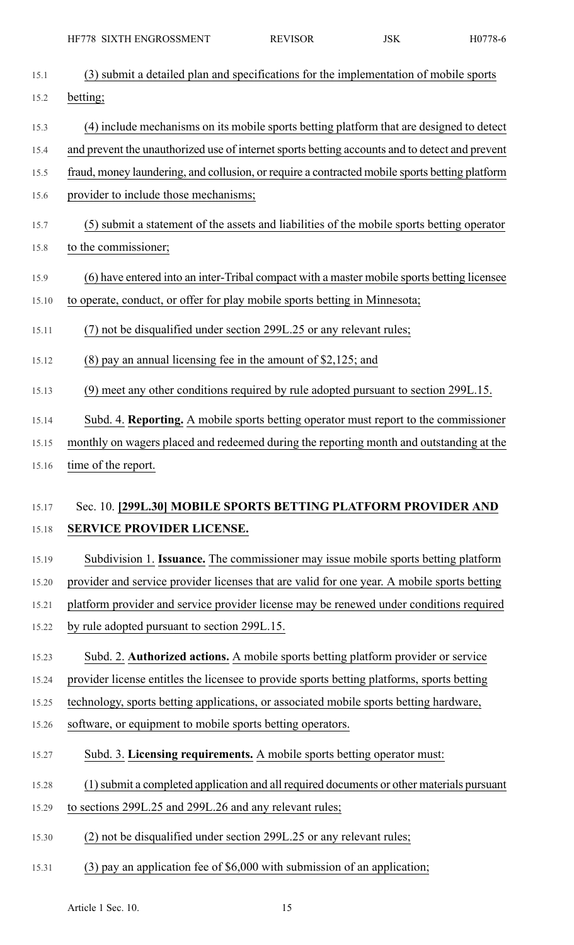| 15.1  | (3) submit a detailed plan and specifications for the implementation of mobile sports              |
|-------|----------------------------------------------------------------------------------------------------|
| 15.2  | betting;                                                                                           |
| 15.3  | (4) include mechanisms on its mobile sports betting platform that are designed to detect           |
| 15.4  | and prevent the unauthorized use of internet sports betting accounts and to detect and prevent     |
| 15.5  | fraud, money laundering, and collusion, or require a contracted mobile sports betting platform     |
| 15.6  | provider to include those mechanisms;                                                              |
| 15.7  | (5) submit a statement of the assets and liabilities of the mobile sports betting operator         |
| 15.8  | to the commissioner;                                                                               |
| 15.9  | (6) have entered into an inter-Tribal compact with a master mobile sports betting licensee         |
| 15.10 | to operate, conduct, or offer for play mobile sports betting in Minnesota;                         |
| 15.11 | (7) not be disqualified under section 299L.25 or any relevant rules;                               |
| 15.12 | $(8)$ pay an annual licensing fee in the amount of \$2,125; and                                    |
| 15.13 | (9) meet any other conditions required by rule adopted pursuant to section 299L.15.                |
| 15.14 | Subd. 4. Reporting. A mobile sports betting operator must report to the commissioner               |
| 15.15 | monthly on wagers placed and redeemed during the reporting month and outstanding at the            |
| 15.16 | time of the report.                                                                                |
|       |                                                                                                    |
| 15.17 |                                                                                                    |
| 15.18 | Sec. 10. [299L.30] MOBILE SPORTS BETTING PLATFORM PROVIDER AND<br><b>SERVICE PROVIDER LICENSE.</b> |
| 15.19 | Subdivision 1. Issuance. The commissioner may issue mobile sports betting platform                 |
| 15.20 | provider and service provider licenses that are valid for one year. A mobile sports betting        |
| 15.21 | platform provider and service provider license may be renewed under conditions required            |
| 15.22 | by rule adopted pursuant to section 299L.15.                                                       |
| 15.23 | Subd. 2. Authorized actions. A mobile sports betting platform provider or service                  |
| 15.24 | provider license entitles the licensee to provide sports betting platforms, sports betting         |
| 15.25 | technology, sports betting applications, or associated mobile sports betting hardware,             |
| 15.26 | software, or equipment to mobile sports betting operators.                                         |
| 15.27 | Subd. 3. Licensing requirements. A mobile sports betting operator must:                            |
| 15.28 | (1) submit a completed application and all required documents or other materials pursuant          |
| 15.29 | to sections 299L.25 and 299L.26 and any relevant rules;                                            |
| 15.30 | (2) not be disqualified under section 299L.25 or any relevant rules;                               |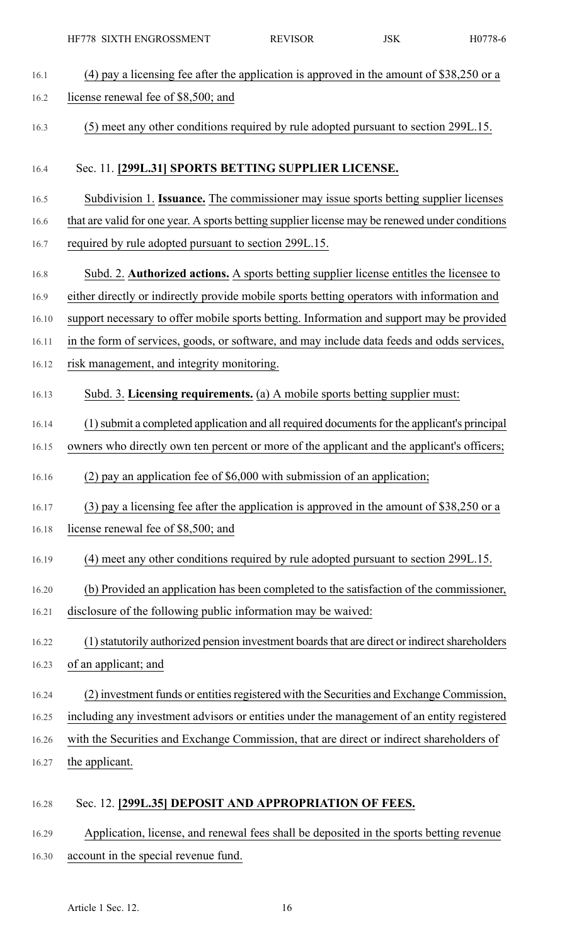| 16.1  | (4) pay a licensing fee after the application is approved in the amount of $$38,250$ or a      |
|-------|------------------------------------------------------------------------------------------------|
| 16.2  | license renewal fee of \$8,500; and                                                            |
| 16.3  | (5) meet any other conditions required by rule adopted pursuant to section 299L.15.            |
| 16.4  | Sec. 11. [299L.31] SPORTS BETTING SUPPLIER LICENSE.                                            |
| 16.5  | Subdivision 1. Issuance. The commissioner may issue sports betting supplier licenses           |
| 16.6  | that are valid for one year. A sports betting supplier license may be renewed under conditions |
| 16.7  | required by rule adopted pursuant to section 299L.15.                                          |
| 16.8  | Subd. 2. Authorized actions. A sports betting supplier license entitles the licensee to        |
| 16.9  | either directly or indirectly provide mobile sports betting operators with information and     |
| 16.10 | support necessary to offer mobile sports betting. Information and support may be provided      |
| 16.11 | in the form of services, goods, or software, and may include data feeds and odds services,     |
| 16.12 | risk management, and integrity monitoring.                                                     |
| 16.13 | Subd. 3. Licensing requirements. (a) A mobile sports betting supplier must:                    |
| 16.14 | (1) submit a completed application and all required documents for the applicant's principal    |
| 16.15 | owners who directly own ten percent or more of the applicant and the applicant's officers;     |
| 16.16 | $(2)$ pay an application fee of \$6,000 with submission of an application;                     |
| 16.17 | $(3)$ pay a licensing fee after the application is approved in the amount of \$38,250 or a     |
| 16.18 | license renewal fee of \$8,500; and                                                            |
| 16.19 | (4) meet any other conditions required by rule adopted pursuant to section 299L.15.            |
| 16.20 | (b) Provided an application has been completed to the satisfaction of the commissioner,        |
| 16.21 | disclosure of the following public information may be waived:                                  |
| 16.22 | (1) statutorily authorized pension investment boards that are direct or indirect shareholders  |
| 16.23 | of an applicant; and                                                                           |
| 16.24 | (2) investment funds or entities registered with the Securities and Exchange Commission,       |
| 16.25 | including any investment advisors or entities under the management of an entity registered     |
| 16.26 | with the Securities and Exchange Commission, that are direct or indirect shareholders of       |
| 16.27 | the applicant.                                                                                 |
| 16.28 | Sec. 12. [299L.35] DEPOSIT AND APPROPRIATION OF FEES.                                          |

16.29 Application, license, and renewal fees shall be deposited in the sports betting revenue 16.30 account in the special revenue fund.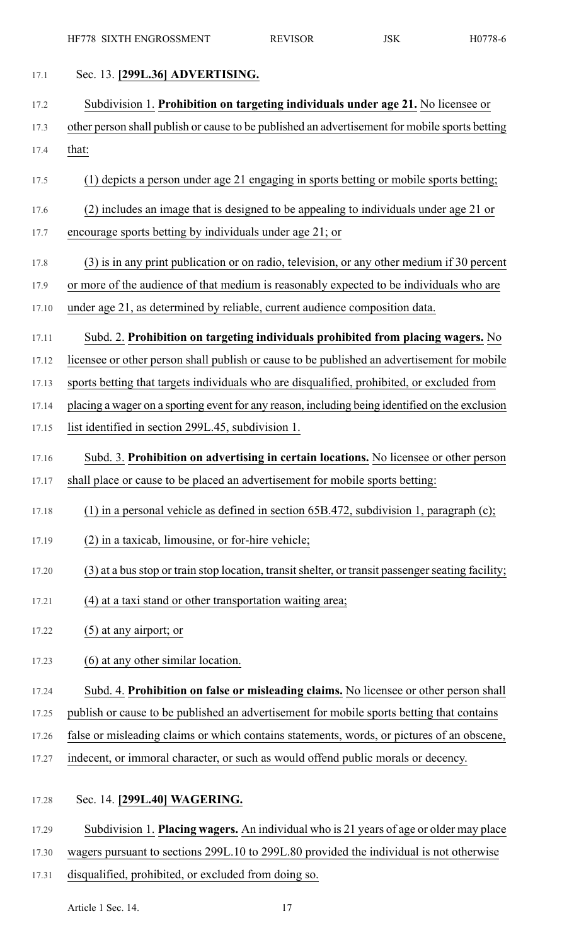| 17.1  | Sec. 13. [299L.36] ADVERTISING.                                                                   |
|-------|---------------------------------------------------------------------------------------------------|
| 17.2  | Subdivision 1. Prohibition on targeting individuals under age 21. No licensee or                  |
| 17.3  | other person shall publish or cause to be published an advertisement for mobile sports betting    |
| 17.4  | that:                                                                                             |
| 17.5  | (1) depicts a person under age 21 engaging in sports betting or mobile sports betting;            |
| 17.6  | (2) includes an image that is designed to be appealing to individuals under age 21 or             |
| 17.7  | encourage sports betting by individuals under age 21; or                                          |
| 17.8  | (3) is in any print publication or on radio, television, or any other medium if 30 percent        |
| 17.9  | or more of the audience of that medium is reasonably expected to be individuals who are           |
| 17.10 | under age 21, as determined by reliable, current audience composition data.                       |
| 17.11 | Subd. 2. Prohibition on targeting individuals prohibited from placing wagers. No                  |
| 17.12 | licensee or other person shall publish or cause to be published an advertisement for mobile       |
| 17.13 | sports betting that targets individuals who are disqualified, prohibited, or excluded from        |
| 17.14 | placing a wager on a sporting event for any reason, including being identified on the exclusion   |
| 17.15 | list identified in section 299L.45, subdivision 1.                                                |
| 17.16 | Subd. 3. Prohibition on advertising in certain locations. No licensee or other person             |
| 17.17 | shall place or cause to be placed an advertisement for mobile sports betting:                     |
| 17.18 | (1) in a personal vehicle as defined in section $65B.472$ , subdivision 1, paragraph (c);         |
| 17.19 | (2) in a taxicab, limousine, or for-hire vehicle;                                                 |
| 17.20 | (3) at a bus stop or train stop location, transit shelter, or transit passenger seating facility; |
| 17.21 | (4) at a taxi stand or other transportation waiting area;                                         |
| 17.22 | $(5)$ at any airport; or                                                                          |
| 17.23 | (6) at any other similar location.                                                                |
| 17.24 | Subd. 4. Prohibition on false or misleading claims. No licensee or other person shall             |
| 17.25 | publish or cause to be published an advertisement for mobile sports betting that contains         |
| 17.26 | false or misleading claims or which contains statements, words, or pictures of an obscene,        |
| 17.27 | indecent, or immoral character, or such as would offend public morals or decency.                 |
| 17.28 | Sec. 14. [299L.40] WAGERING.                                                                      |
| 17.29 | Subdivision 1. Placing wagers. An individual who is 21 years of age or older may place            |

- 17.30 wagers pursuant to sections 299L.10 to 299L.80 provided the individual is not otherwise
- 17.31 disqualified, prohibited, or excluded from doing so.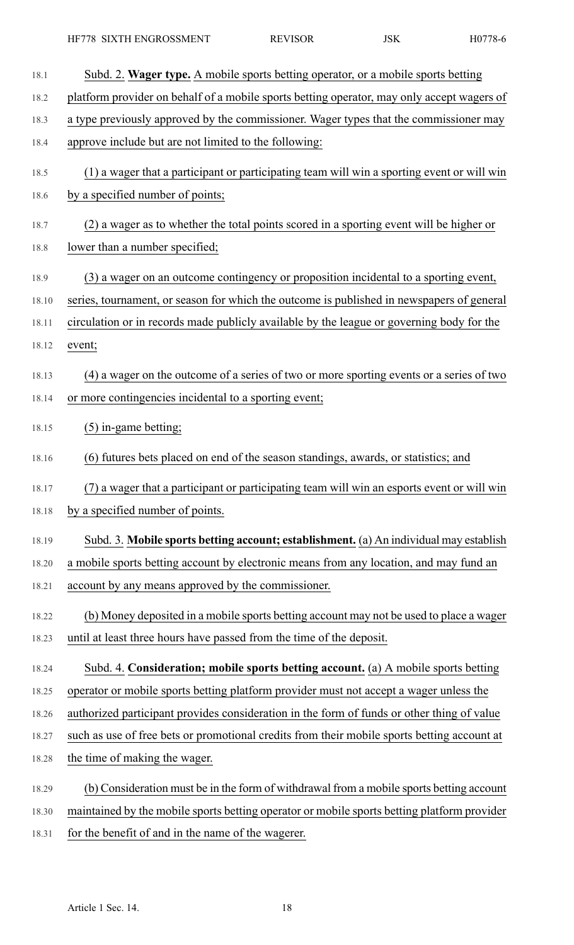| 18.1  | Subd. 2. Wager type. A mobile sports betting operator, or a mobile sports betting           |
|-------|---------------------------------------------------------------------------------------------|
| 18.2  | platform provider on behalf of a mobile sports betting operator, may only accept wagers of  |
| 18.3  | a type previously approved by the commissioner. Wager types that the commissioner may       |
| 18.4  | approve include but are not limited to the following:                                       |
| 18.5  | (1) a wager that a participant or participating team will win a sporting event or will win  |
| 18.6  | by a specified number of points;                                                            |
| 18.7  | (2) a wager as to whether the total points scored in a sporting event will be higher or     |
| 18.8  | lower than a number specified;                                                              |
| 18.9  | (3) a wager on an outcome contingency or proposition incidental to a sporting event,        |
| 18.10 | series, tournament, or season for which the outcome is published in newspapers of general   |
| 18.11 | circulation or in records made publicly available by the league or governing body for the   |
| 18.12 | event;                                                                                      |
| 18.13 | (4) a wager on the outcome of a series of two or more sporting events or a series of two    |
| 18.14 | or more contingencies incidental to a sporting event;                                       |
| 18.15 | $(5)$ in-game betting;                                                                      |
| 18.16 | (6) futures bets placed on end of the season standings, awards, or statistics; and          |
| 18.17 | (7) a wager that a participant or participating team will win an esports event or will win  |
| 18.18 | by a specified number of points.                                                            |
| 18.19 | Subd. 3. Mobile sports betting account; establishment. (a) An individual may establish      |
| 18.20 | a mobile sports betting account by electronic means from any location, and may fund an      |
| 18.21 | account by any means approved by the commissioner.                                          |
| 18.22 | (b) Money deposited in a mobile sports betting account may not be used to place a wager     |
| 18.23 | until at least three hours have passed from the time of the deposit.                        |
| 18.24 | Subd. 4. Consideration; mobile sports betting account. (a) A mobile sports betting          |
| 18.25 | operator or mobile sports betting platform provider must not accept a wager unless the      |
| 18.26 | authorized participant provides consideration in the form of funds or other thing of value  |
| 18.27 | such as use of free bets or promotional credits from their mobile sports betting account at |
| 18.28 | the time of making the wager.                                                               |
| 18.29 | (b) Consideration must be in the form of withdrawal from a mobile sports betting account    |
| 18.30 | maintained by the mobile sports betting operator or mobile sports betting platform provider |
| 18.31 | for the benefit of and in the name of the wagerer.                                          |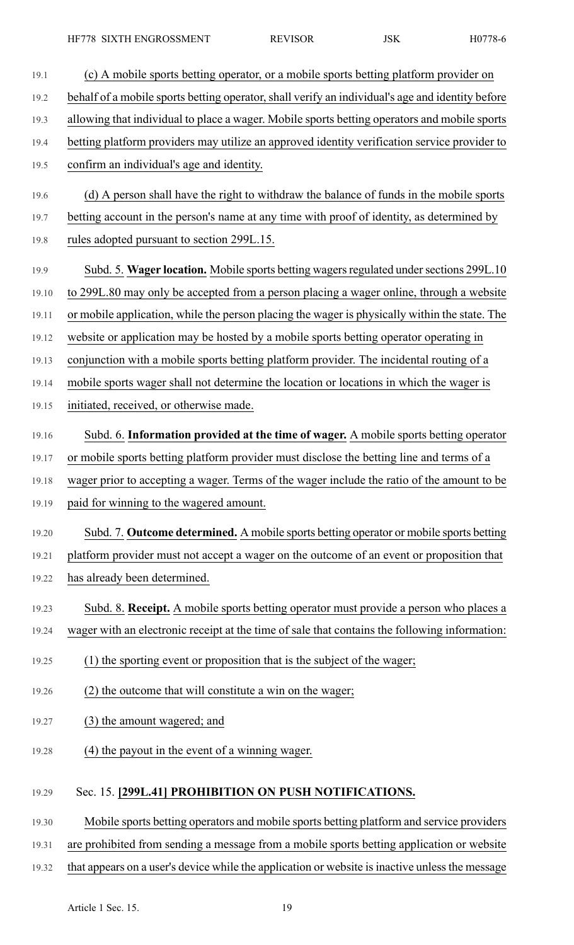- 19.1 (c) A mobile sports betting operator, or a mobile sports betting platform provider on 19.2 behalf of a mobile sports betting operator, shall verify an individual's age and identity before 19.3 allowing that individual to place a wager. Mobile sports betting operators and mobile sports 19.4 betting platform providers may utilize an approved identity verification service provider to 19.5 confirm an individual's age and identity. 19.6 (d) A person shall have the right to withdraw the balance of funds in the mobile sports 19.7 betting account in the person's name at any time with proof of identity, as determined by 19.8 rules adopted pursuant to section 299L.15. 19.9 Subd. 5. Wager location. Mobile sports betting wagers regulated under sections 299L.10 19.10 to 299L.80 may only be accepted from a person placing a wager online, through a website 19.11 or mobile application, while the person placing the wager is physically within the state. The 19.12 website or application may be hosted by a mobile sports betting operator operating in 19.13 conjunction with a mobile sports betting platform provider. The incidental routing of a 19.14 mobile sports wager shall not determine the location or locations in which the wager is 19.15 initiated, received, or otherwise made. 19.16 Subd. 6. **Information provided at the time of wager.** A mobile sports betting operator 19.17 or mobile sports betting platform provider must disclose the betting line and terms of a 19.18 wager prior to accepting a wager. Terms of the wager include the ratio of the amount to be 19.19 paid for winning to the wagered amount. 19.20 Subd. 7. **Outcome determined.** A mobile sports betting operator or mobile sports betting 19.21 platform provider must not accept a wager on the outcome of an event or proposition that 19.22 has already been determined. 19.23 Subd. 8. **Receipt.** A mobile sports betting operator must provide a person who places a 19.24 wager with an electronic receipt at the time of sale that contains the following information: 19.25 (1) the sporting event or proposition that is the subject of the wager; 19.26 (2) the outcome that will constitute a win on the wager; 19.27 (3) the amount wagered; and 19.28 (4) the payout in the event of a winning wager. 19.29 Sec. 15. **[299L.41] PROHIBITION ON PUSH NOTIFICATIONS.**
- 19.30 Mobile sports betting operators and mobile sports betting platform and service providers
- 19.31 are prohibited from sending a message from a mobile sports betting application or website
- 19.32 that appears on a user's device while the application or website is inactive unless the message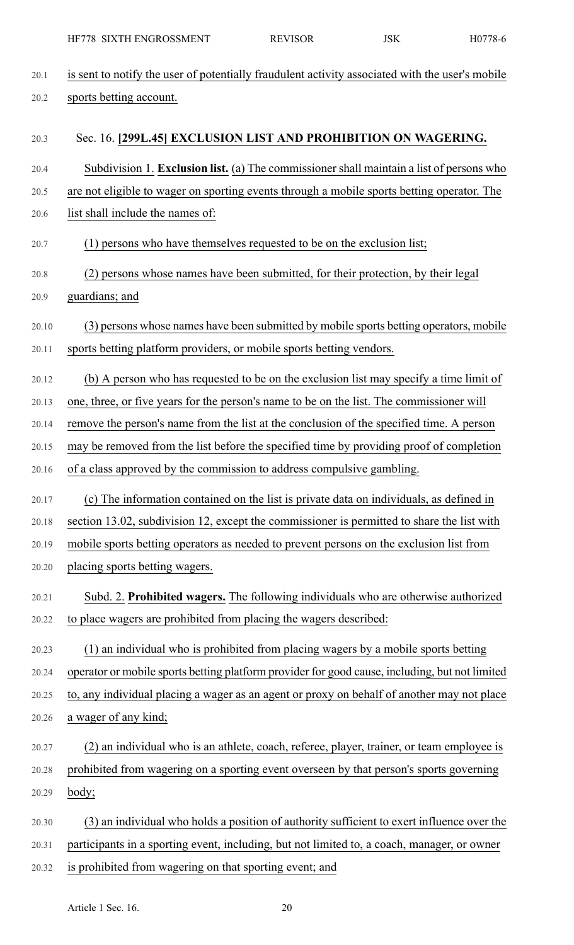20.1 is sent to notify the user of potentially fraudulent activity associated with the user's mobile 20.2 sports betting account. 20.3 Sec. 16. **[299L.45] EXCLUSION LIST AND PROHIBITION ON WAGERING.** 20.4 Subdivision 1. **Exclusion list.** (a) The commissionershall maintain a list of persons who 20.5 are not eligible to wager on sporting events through a mobile sports betting operator. The 20.6 list shall include the names of: 20.7 (1) persons who have themselves requested to be on the exclusion list; 20.8 (2) persons whose names have been submitted, for their protection, by their legal 20.9 guardians; and 20.10 (3) persons whose names have been submitted by mobile sports betting operators, mobile 20.11 sports betting platform providers, or mobile sports betting vendors. 20.12 (b) A person who has requested to be on the exclusion list may specify a time limit of 20.13 one, three, or five years for the person's name to be on the list. The commissioner will 20.14 remove the person's name from the list at the conclusion of the specified time. A person 20.15 may be removed from the list before the specified time by providing proof of completion 20.16 of a class approved by the commission to address compulsive gambling. 20.17 (c) The information contained on the list is private data on individuals, as defined in 20.18 section 13.02, subdivision 12, except the commissioner is permitted to share the list with 20.19 mobile sports betting operators as needed to prevent persons on the exclusion list from 20.20 placing sports betting wagers. 20.21 Subd. 2. **Prohibited wagers.** The following individuals who are otherwise authorized 20.22 to place wagers are prohibited from placing the wagers described: 20.23 (1) an individual who is prohibited from placing wagers by a mobile sports betting 20.24 operator or mobile sports betting platform provider for good cause, including, but not limited 20.25 to, any individual placing a wager as an agent or proxy on behalf of another may not place 20.26 a wager of any kind; 20.27 (2) an individual who is an athlete, coach, referee, player, trainer, or team employee is 20.28 prohibited from wagering on a sporting event overseen by that person's sports governing 20.29 body; 20.30 (3) an individual who holds a position of authority sufficient to exert influence over the 20.31 participants in a sporting event, including, but not limited to, a coach, manager, or owner 20.32 is prohibited from wagering on that sporting event; and HF778 SIXTH ENGROSSMENT REVISOR JSK H0778-6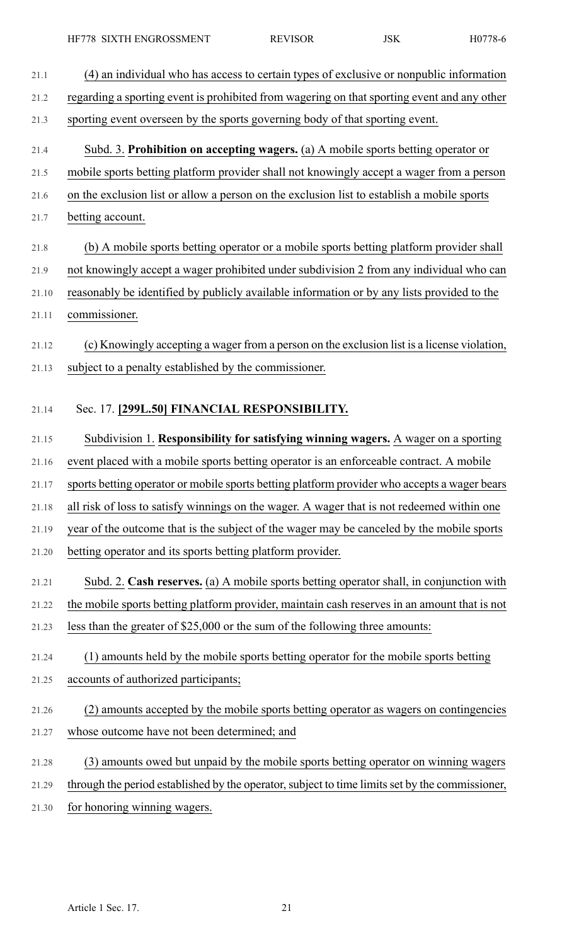| 21.1  | (4) an individual who has access to certain types of exclusive or nonpublic information         |
|-------|-------------------------------------------------------------------------------------------------|
| 21.2  | regarding a sporting event is prohibited from wagering on that sporting event and any other     |
| 21.3  | sporting event overseen by the sports governing body of that sporting event.                    |
| 21.4  | Subd. 3. Prohibition on accepting wagers. (a) A mobile sports betting operator or               |
| 21.5  | mobile sports betting platform provider shall not knowingly accept a wager from a person        |
| 21.6  | on the exclusion list or allow a person on the exclusion list to establish a mobile sports      |
| 21.7  | betting account.                                                                                |
| 21.8  | (b) A mobile sports betting operator or a mobile sports betting platform provider shall         |
| 21.9  | not knowingly accept a wager prohibited under subdivision 2 from any individual who can         |
| 21.10 | reasonably be identified by publicly available information or by any lists provided to the      |
| 21.11 | commissioner.                                                                                   |
| 21.12 | (c) Knowingly accepting a wager from a person on the exclusion list is a license violation,     |
| 21.13 | subject to a penalty established by the commissioner.                                           |
|       |                                                                                                 |
| 21.14 | Sec. 17. [299L.50] FINANCIAL RESPONSIBILITY.                                                    |
| 21.15 | Subdivision 1. Responsibility for satisfying winning wagers. A wager on a sporting              |
| 21.16 | event placed with a mobile sports betting operator is an enforceable contract. A mobile         |
| 21.17 | sports betting operator or mobile sports betting platform provider who accepts a wager bears    |
| 21.18 | all risk of loss to satisfy winnings on the wager. A wager that is not redeemed within one      |
| 21.19 | year of the outcome that is the subject of the wager may be canceled by the mobile sports       |
| 21.20 | betting operator and its sports betting platform provider.                                      |
| 21.21 | Subd. 2. Cash reserves. (a) A mobile sports betting operator shall, in conjunction with         |
| 21.22 | the mobile sports betting platform provider, maintain cash reserves in an amount that is not    |
| 21.23 | less than the greater of \$25,000 or the sum of the following three amounts:                    |
| 21.24 | (1) amounts held by the mobile sports betting operator for the mobile sports betting            |
| 21.25 | accounts of authorized participants;                                                            |
| 21.26 | (2) amounts accepted by the mobile sports betting operator as wagers on contingencies           |
| 21.27 | whose outcome have not been determined; and                                                     |
| 21.28 | (3) amounts owed but unpaid by the mobile sports betting operator on winning wagers             |
| 21.29 | through the period established by the operator, subject to time limits set by the commissioner, |
| 21.30 | for honoring winning wagers.                                                                    |
|       |                                                                                                 |
|       |                                                                                                 |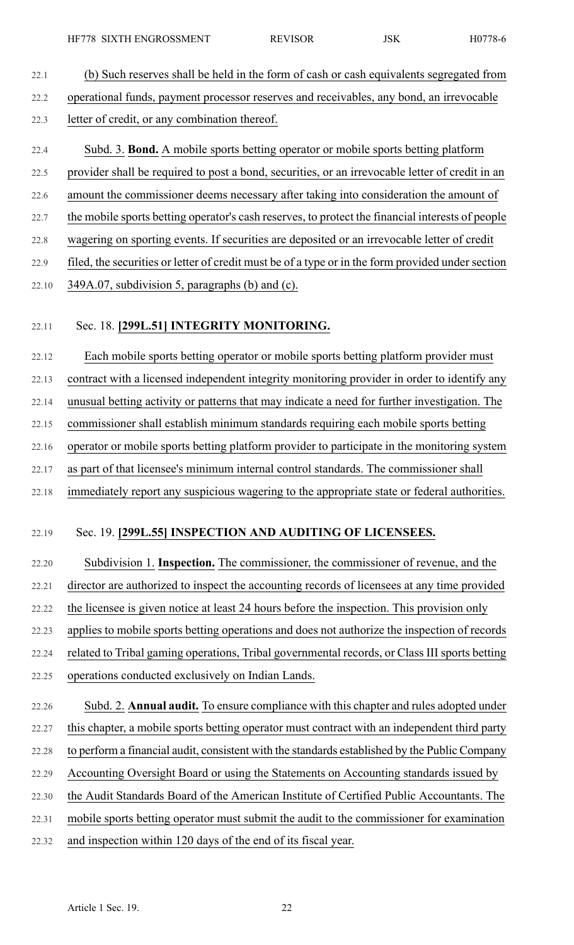- 22.1 (b) Such reserves shall be held in the form of cash or cash equivalents segregated from 22.2 operational funds, payment processor reserves and receivables, any bond, an irrevocable 22.3 letter of credit, or any combination thereof.
- 22.4 Subd. 3. **Bond.** A mobile sports betting operator or mobile sports betting platform 22.5 provider shall be required to post a bond, securities, or an irrevocable letter of credit in an 22.6 amount the commissioner deems necessary after taking into consideration the amount of
- 22.7 the mobile sports betting operator's cash reserves, to protect the financial interests of people
- 22.8 wagering on sporting events. If securities are deposited or an irrevocable letter of credit
- 22.9 filed, the securities or letter of credit must be of a type or in the form provided under section
- 22.10 349A.07, subdivision 5, paragraphs (b) and (c).

#### 22.11 Sec. 18. **[299L.51] INTEGRITY MONITORING.**

22.12 Each mobile sports betting operator or mobile sports betting platform provider must 22.13 contract with a licensed independent integrity monitoring provider in order to identify any 22.14 unusual betting activity or patterns that may indicate a need for further investigation. The 22.15 commissioner shall establish minimum standards requiring each mobile sports betting 22.16 operator or mobile sports betting platform provider to participate in the monitoring system 22.17 as part of that licensee's minimum internal control standards. The commissioner shall 22.18 immediately report any suspicious wagering to the appropriate state or federal authorities.

22.19 Sec. 19. **[299L.55] INSPECTION AND AUDITING OF LICENSEES.**

22.20 Subdivision 1. **Inspection.** The commissioner, the commissioner of revenue, and the 22.21 director are authorized to inspect the accounting records of licensees at any time provided 22.22 the licensee is given notice at least 24 hours before the inspection. This provision only 22.23 applies to mobile sports betting operations and does not authorize the inspection of records 22.24 related to Tribal gaming operations, Tribal governmental records, or Class III sports betting 22.25 operations conducted exclusively on Indian Lands.

22.26 Subd. 2. **Annual audit.** To ensure compliance with this chapter and rules adopted under 22.27 this chapter, a mobile sports betting operator must contract with an independent third party 22.28 to perform a financial audit, consistent with the standards established by the Public Company 22.29 Accounting Oversight Board or using the Statements on Accounting standards issued by 22.30 the Audit Standards Board of the American Institute of Certified Public Accountants. The 22.31 mobile sports betting operator must submit the audit to the commissioner for examination 22.32 and inspection within 120 days of the end of its fiscal year.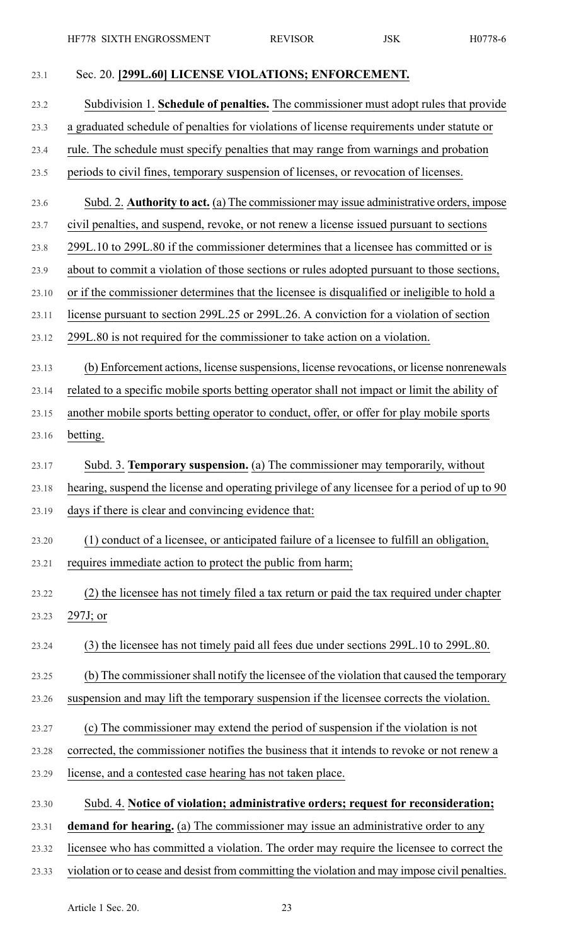| 23.1  | Sec. 20. [299L.60] LICENSE VIOLATIONS; ENFORCEMENT.                                            |
|-------|------------------------------------------------------------------------------------------------|
| 23.2  | Subdivision 1. Schedule of penalties. The commissioner must adopt rules that provide           |
| 23.3  | a graduated schedule of penalties for violations of license requirements under statute or      |
| 23.4  | rule. The schedule must specify penalties that may range from warnings and probation           |
| 23.5  | periods to civil fines, temporary suspension of licenses, or revocation of licenses.           |
| 23.6  | Subd. 2. Authority to act. (a) The commissioner may issue administrative orders, impose        |
| 23.7  | civil penalties, and suspend, revoke, or not renew a license issued pursuant to sections       |
| 23.8  | 299L.10 to 299L.80 if the commissioner determines that a licensee has committed or is          |
| 23.9  | about to commit a violation of those sections or rules adopted pursuant to those sections,     |
| 23.10 | or if the commissioner determines that the licensee is disqualified or ineligible to hold a    |
| 23.11 | license pursuant to section 299L.25 or 299L.26. A conviction for a violation of section        |
| 23.12 | 299L.80 is not required for the commissioner to take action on a violation.                    |
| 23.13 | (b) Enforcement actions, license suspensions, license revocations, or license nonrenewals      |
| 23.14 | related to a specific mobile sports betting operator shall not impact or limit the ability of  |
| 23.15 | another mobile sports betting operator to conduct, offer, or offer for play mobile sports      |
| 23.16 | betting.                                                                                       |
| 23.17 | Subd. 3. Temporary suspension. (a) The commissioner may temporarily, without                   |
| 23.18 | hearing, suspend the license and operating privilege of any licensee for a period of up to 90  |
| 23.19 | days if there is clear and convincing evidence that:                                           |
| 23.20 | (1) conduct of a licensee, or anticipated failure of a licensee to fulfill an obligation,      |
| 23.21 | requires immediate action to protect the public from harm;                                     |
| 23.22 | (2) the licensee has not timely filed a tax return or paid the tax required under chapter      |
| 23.23 | $297J$ ; or                                                                                    |
| 23.24 | (3) the licensee has not timely paid all fees due under sections 299L.10 to 299L.80.           |
| 23.25 | (b) The commissioner shall notify the licensee of the violation that caused the temporary      |
| 23.26 | suspension and may lift the temporary suspension if the licensee corrects the violation.       |
| 23.27 | (c) The commissioner may extend the period of suspension if the violation is not               |
| 23.28 | corrected, the commissioner notifies the business that it intends to revoke or not renew a     |
| 23.29 | license, and a contested case hearing has not taken place.                                     |
| 23.30 | Subd. 4. Notice of violation; administrative orders; request for reconsideration;              |
| 23.31 | demand for hearing. (a) The commissioner may issue an administrative order to any              |
| 23.32 | licensee who has committed a violation. The order may require the licensee to correct the      |
| 23.33 | violation or to cease and desist from committing the violation and may impose civil penalties. |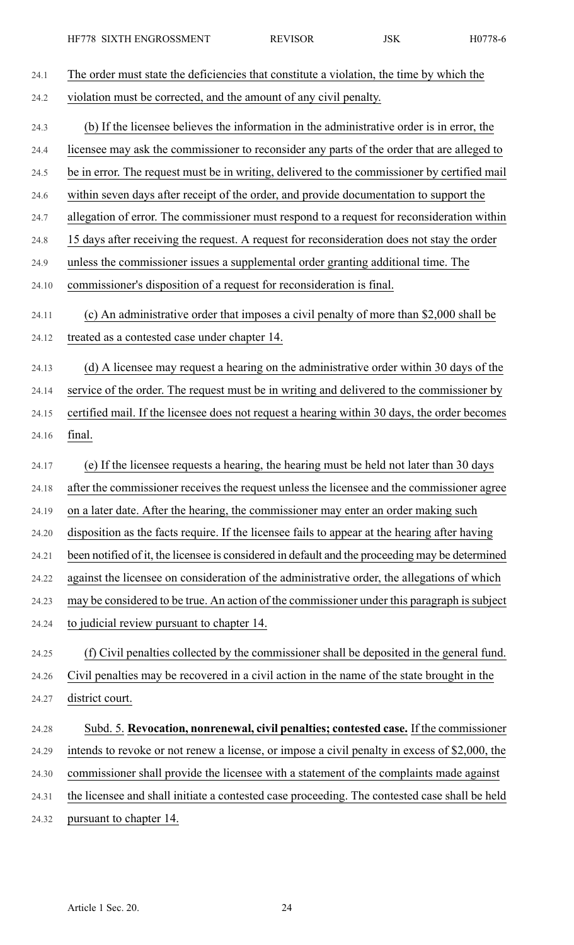| 24.1  | The order must state the deficiencies that constitute a violation, the time by which the        |
|-------|-------------------------------------------------------------------------------------------------|
| 24.2  | violation must be corrected, and the amount of any civil penalty.                               |
| 24.3  | (b) If the licensee believes the information in the administrative order is in error, the       |
| 24.4  | licensee may ask the commissioner to reconsider any parts of the order that are alleged to      |
| 24.5  | be in error. The request must be in writing, delivered to the commissioner by certified mail    |
| 24.6  | within seven days after receipt of the order, and provide documentation to support the          |
| 24.7  | allegation of error. The commissioner must respond to a request for reconsideration within      |
| 24.8  | 15 days after receiving the request. A request for reconsideration does not stay the order      |
| 24.9  | unless the commissioner issues a supplemental order granting additional time. The               |
| 24.10 | commissioner's disposition of a request for reconsideration is final.                           |
| 24.11 | (c) An administrative order that imposes a civil penalty of more than \$2,000 shall be          |
| 24.12 | treated as a contested case under chapter 14.                                                   |
| 24.13 | (d) A licensee may request a hearing on the administrative order within 30 days of the          |
| 24.14 | service of the order. The request must be in writing and delivered to the commissioner by       |
| 24.15 | certified mail. If the licensee does not request a hearing within 30 days, the order becomes    |
| 24.16 | final.                                                                                          |
| 24.17 | (e) If the licensee requests a hearing, the hearing must be held not later than 30 days         |
| 24.18 | after the commissioner receives the request unless the licensee and the commissioner agree      |
| 24.19 | on a later date. After the hearing, the commissioner may enter an order making such             |
| 24.20 | disposition as the facts require. If the licensee fails to appear at the hearing after having   |
| 24.21 | been notified of it, the licensee is considered in default and the proceeding may be determined |
| 24.22 | against the licensee on consideration of the administrative order, the allegations of which     |
| 24.23 | may be considered to be true. An action of the commissioner under this paragraph is subject     |
| 24.24 | to judicial review pursuant to chapter 14.                                                      |
| 24.25 | (f) Civil penalties collected by the commissioner shall be deposited in the general fund.       |
| 24.26 | Civil penalties may be recovered in a civil action in the name of the state brought in the      |
| 24.27 | district court.                                                                                 |
| 24.28 | Subd. 5. Revocation, nonrenewal, civil penalties; contested case. If the commissioner           |
| 24.29 | intends to revoke or not renew a license, or impose a civil penalty in excess of \$2,000, the   |
| 24.30 | commissioner shall provide the licensee with a statement of the complaints made against         |
| 24.31 | the licensee and shall initiate a contested case proceeding. The contested case shall be held   |
| 24.32 | pursuant to chapter 14.                                                                         |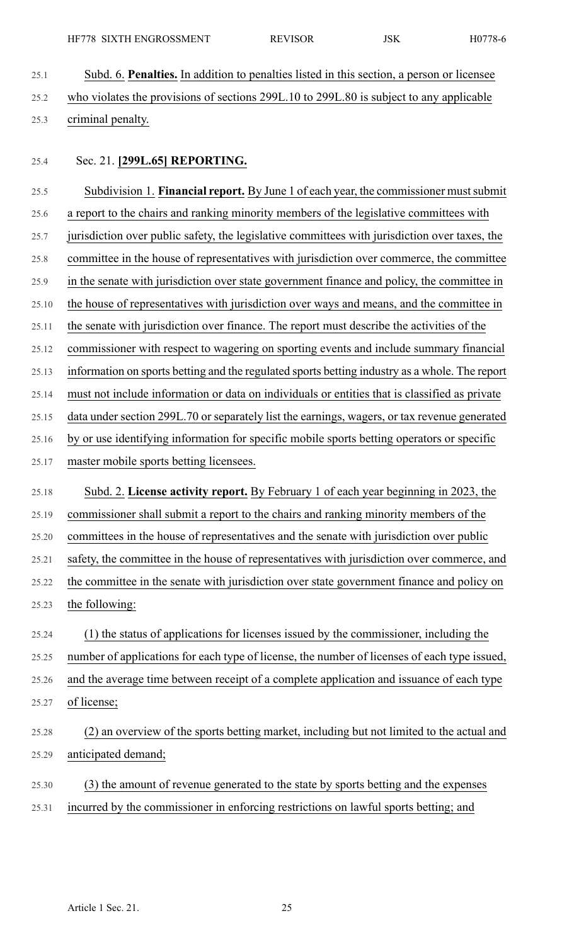25.1 Subd. 6. **Penalties.** In addition to penalties listed in this section, a person or licensee 25.2 who violates the provisions of sections 299L.10 to 299L.80 is subject to any applicable 25.3 criminal penalty.

25.4 Sec. 21. **[299L.65] REPORTING.**

25.5 Subdivision 1. **Financial report.** By June 1 of each year, the commissioner mustsubmit 25.6 a report to the chairs and ranking minority members of the legislative committees with 25.7 jurisdiction over public safety, the legislative committees with jurisdiction over taxes, the 25.8 committee in the house of representatives with jurisdiction over commerce, the committee 25.9 in the senate with jurisdiction over state government finance and policy, the committee in 25.10 the house of representatives with jurisdiction over ways and means, and the committee in 25.11 the senate with jurisdiction over finance. The report must describe the activities of the 25.12 commissioner with respect to wagering on sporting events and include summary financial 25.13 information on sports betting and the regulated sports betting industry as a whole. The report 25.14 must not include information or data on individuals or entities that is classified as private 25.15 data under section 299L.70 or separately list the earnings, wagers, or tax revenue generated 25.16 by or use identifying information for specific mobile sports betting operators or specific 25.17 master mobile sports betting licensees. 25.18 Subd. 2. **License activity report.** By February 1 of each year beginning in 2023, the 25.19 commissioner shall submit a report to the chairs and ranking minority members of the 25.20 committees in the house of representatives and the senate with jurisdiction over public 25.21 safety, the committee in the house of representatives with jurisdiction over commerce, and 25.22 the committee in the senate with jurisdiction over state government finance and policy on 25.23 the following: 25.24 (1) the status of applications for licenses issued by the commissioner, including the 25.25 number of applications for each type of license, the number of licenses of each type issued, 25.26 and the average time between receipt of a complete application and issuance of each type 25.27 of license; 25.28 (2) an overview of the sports betting market, including but not limited to the actual and 25.29 anticipated demand;

25.30 (3) the amount of revenue generated to the state by sports betting and the expenses 25.31 incurred by the commissioner in enforcing restrictions on lawful sports betting; and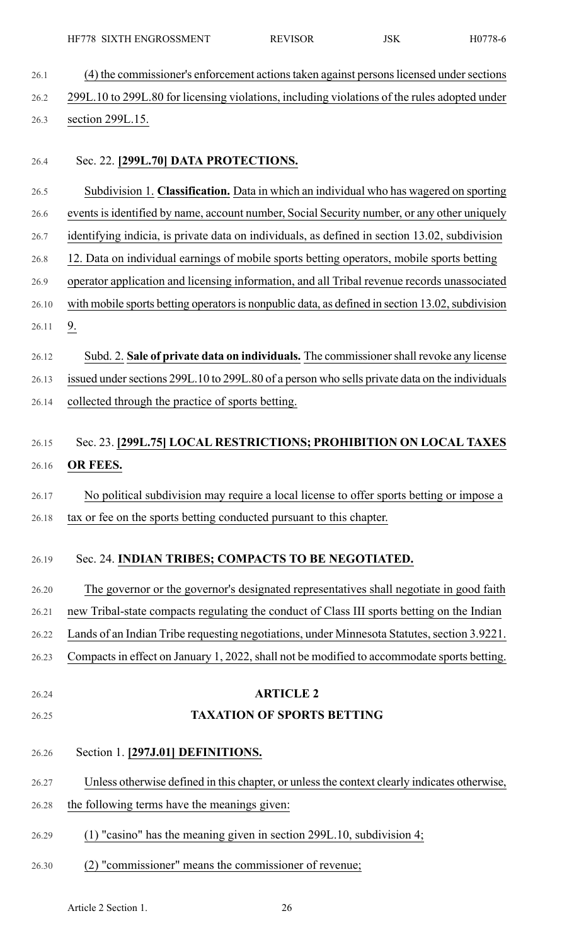- 26.1 (4) the commissioner's enforcement actions taken against persons licensed under sections 26.2 299L.10 to 299L.80 for licensing violations, including violations of the rules adopted under 26.3 section 299L.15.
- 26.4 Sec. 22. **[299L.70] DATA PROTECTIONS.**
- 26.5 Subdivision 1. **Classification.** Data in which an individual who has wagered on sporting
- 26.6 events is identified by name, account number, Social Security number, or any other uniquely
- 26.7 identifying indicia, is private data on individuals, as defined in section 13.02, subdivision
- 26.8 12. Data on individual earnings of mobile sports betting operators, mobile sports betting
- 26.9 operator application and licensing information, and all Tribal revenue records unassociated
- 26.10 with mobile sports betting operators is nonpublic data, as defined in section 13.02, subdivision
- 26.12 Subd. 2. **Sale of private data on individuals.** The commissionershall revoke any license 26.13 issued under sections 299L.10 to 299L.80 of a person who sells private data on the individuals 26.14 collected through the practice of sports betting.

## 26.15 Sec. 23. **[299L.75] LOCAL RESTRICTIONS; PROHIBITION ON LOCAL TAXES** 26.16 **OR FEES.**

26.17 No political subdivision may require a local license to offer sports betting or impose a 26.18 tax or fee on the sports betting conducted pursuant to this chapter.

#### 26.19 Sec. 24. **INDIAN TRIBES; COMPACTS TO BE NEGOTIATED.**

- 26.20 The governor or the governor's designated representatives shall negotiate in good faith 26.21 new Tribal-state compacts regulating the conduct of Class III sports betting on the Indian 26.22 Lands of an Indian Tribe requesting negotiations, under Minnesota Statutes, section 3.9221.
- 26.23 Compacts in effect on January 1, 2022, shall not be modified to accommodate sports betting.
- 

26.11 9.

#### 26.24 **ARTICLE 2**

- 26.25 **TAXATION OF SPORTS BETTING**
- 26.26 Section 1. **[297J.01] DEFINITIONS.**
- 26.27 Unless otherwise defined in this chapter, or unlessthe context clearly indicates otherwise,
- 26.28 the following terms have the meanings given:
- 26.29 (1) "casino" has the meaning given in section 299L.10, subdivision 4;
- 26.30 (2) "commissioner" means the commissioner of revenue;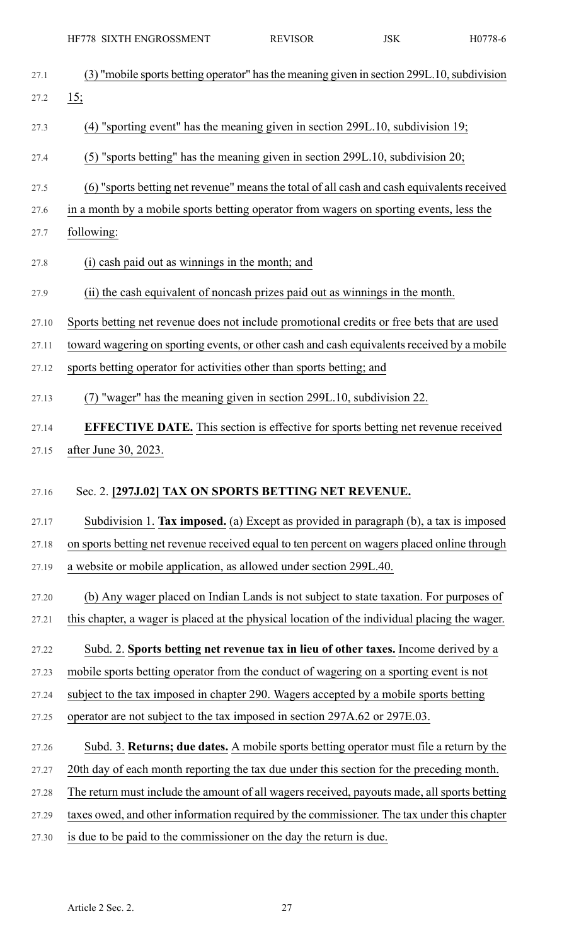|       | HF778 SIXTH ENGROSSMENT                                                                                                                                                               | <b>REVISOR</b> | <b>JSK</b> | H0778-6 |
|-------|---------------------------------------------------------------------------------------------------------------------------------------------------------------------------------------|----------------|------------|---------|
| 27.1  | (3) "mobile sports betting operator" has the meaning given in section 299L.10, subdivision                                                                                            |                |            |         |
| 27.2  | $\frac{15}{ }$                                                                                                                                                                        |                |            |         |
| 27.3  | (4) "sporting event" has the meaning given in section 299L.10, subdivision 19;                                                                                                        |                |            |         |
| 27.4  | (5) "sports betting" has the meaning given in section 299L.10, subdivision 20;                                                                                                        |                |            |         |
|       |                                                                                                                                                                                       |                |            |         |
| 27.5  | (6) "sports betting net revenue" means the total of all cash and cash equivalents received<br>in a month by a mobile sports betting operator from wagers on sporting events, less the |                |            |         |
| 27.6  |                                                                                                                                                                                       |                |            |         |
| 27.7  | following:                                                                                                                                                                            |                |            |         |
| 27.8  | (i) cash paid out as winnings in the month; and                                                                                                                                       |                |            |         |
| 27.9  | (ii) the cash equivalent of noncash prizes paid out as winnings in the month.                                                                                                         |                |            |         |
| 27.10 | Sports betting net revenue does not include promotional credits or free bets that are used                                                                                            |                |            |         |
| 27.11 | toward wagering on sporting events, or other cash and cash equivalents received by a mobile                                                                                           |                |            |         |
| 27.12 | sports betting operator for activities other than sports betting; and                                                                                                                 |                |            |         |
| 27.13 | (7) "wager" has the meaning given in section 299L.10, subdivision 22.                                                                                                                 |                |            |         |
| 27.14 | <b>EFFECTIVE DATE.</b> This section is effective for sports betting net revenue received                                                                                              |                |            |         |
|       | 27.15 after June 30, 2023.                                                                                                                                                            |                |            |         |
| 27.16 | Sec. 2. [297J.02] TAX ON SPORTS BETTING NET REVENUE.                                                                                                                                  |                |            |         |
|       |                                                                                                                                                                                       |                |            |         |
| 27.17 | Subdivision 1. Tax imposed. (a) Except as provided in paragraph (b), a tax is imposed                                                                                                 |                |            |         |
| 27.18 | on sports betting net revenue received equal to ten percent on wagers placed online through                                                                                           |                |            |         |
| 27.19 | a website or mobile application, as allowed under section 299L.40.                                                                                                                    |                |            |         |
| 27.20 | (b) Any wager placed on Indian Lands is not subject to state taxation. For purposes of                                                                                                |                |            |         |
| 27.21 | this chapter, a wager is placed at the physical location of the individual placing the wager.                                                                                         |                |            |         |
| 27.22 | Subd. 2. Sports betting net revenue tax in lieu of other taxes. Income derived by a                                                                                                   |                |            |         |
| 27.23 | mobile sports betting operator from the conduct of wagering on a sporting event is not                                                                                                |                |            |         |
| 27.24 | subject to the tax imposed in chapter 290. Wagers accepted by a mobile sports betting                                                                                                 |                |            |         |
| 27.25 | operator are not subject to the tax imposed in section 297A.62 or 297E.03.                                                                                                            |                |            |         |
| 27.26 | Subd. 3. Returns; due dates. A mobile sports betting operator must file a return by the                                                                                               |                |            |         |
| 27.27 | 20th day of each month reporting the tax due under this section for the preceding month.                                                                                              |                |            |         |
| 27.28 | The return must include the amount of all wagers received, payouts made, all sports betting                                                                                           |                |            |         |
| 27.29 | taxes owed, and other information required by the commissioner. The tax under this chapter                                                                                            |                |            |         |
| 27.30 | is due to be paid to the commissioner on the day the return is due.                                                                                                                   |                |            |         |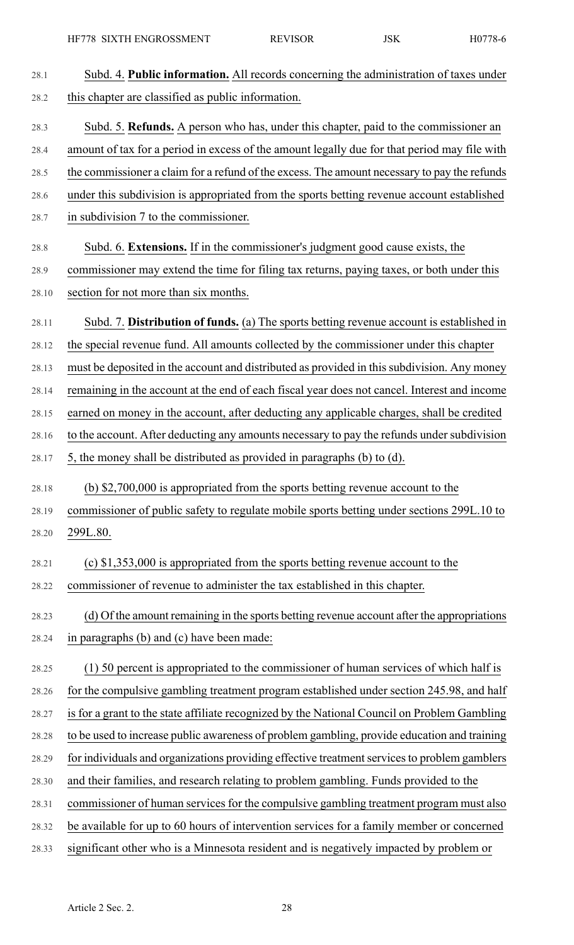| 28.1  | Subd. 4. Public information. All records concerning the administration of taxes under        |
|-------|----------------------------------------------------------------------------------------------|
| 28.2  | this chapter are classified as public information.                                           |
| 28.3  | Subd. 5. Refunds. A person who has, under this chapter, paid to the commissioner an          |
| 28.4  | amount of tax for a period in excess of the amount legally due for that period may file with |
| 28.5  | the commissioner a claim for a refund of the excess. The amount necessary to pay the refunds |
| 28.6  | under this subdivision is appropriated from the sports betting revenue account established   |
| 28.7  | in subdivision 7 to the commissioner.                                                        |
| 28.8  | Subd. 6. Extensions. If in the commissioner's judgment good cause exists, the                |
| 28.9  | commissioner may extend the time for filing tax returns, paying taxes, or both under this    |
| 28.10 | section for not more than six months.                                                        |
| 28.11 | Subd. 7. Distribution of funds. (a) The sports betting revenue account is established in     |
| 28.12 | the special revenue fund. All amounts collected by the commissioner under this chapter       |
| 28.13 | must be deposited in the account and distributed as provided in this subdivision. Any money  |
| 28.14 | remaining in the account at the end of each fiscal year does not cancel. Interest and income |
| 28.15 | earned on money in the account, after deducting any applicable charges, shall be credited    |
| 28.16 | to the account. After deducting any amounts necessary to pay the refunds under subdivision   |
| 28.17 | 5, the money shall be distributed as provided in paragraphs (b) to (d).                      |
| 28.18 | (b) \$2,700,000 is appropriated from the sports betting revenue account to the               |
| 28.19 | commissioner of public safety to regulate mobile sports betting under sections 299L.10 to    |
| 28.20 | 299L.80.                                                                                     |
| 28.21 | (c) $$1,353,000$ is appropriated from the sports betting revenue account to the              |
| 28.22 | commissioner of revenue to administer the tax established in this chapter.                   |
| 28.23 | (d) Of the amount remaining in the sports betting revenue account after the appropriations   |
| 28.24 | in paragraphs (b) and (c) have been made:                                                    |
| 28.25 | (1) 50 percent is appropriated to the commissioner of human services of which half is        |
| 28.26 | for the compulsive gambling treatment program established under section 245.98, and half     |
| 28.27 | is for a grant to the state affiliate recognized by the National Council on Problem Gambling |
| 28.28 | to be used to increase public awareness of problem gambling, provide education and training  |
| 28.29 | for individuals and organizations providing effective treatment services to problem gamblers |
| 28.30 | and their families, and research relating to problem gambling. Funds provided to the         |
| 28.31 | commissioner of human services for the compulsive gambling treatment program must also       |
| 28.32 | be available for up to 60 hours of intervention services for a family member or concerned    |
| 28.33 | significant other who is a Minnesota resident and is negatively impacted by problem or       |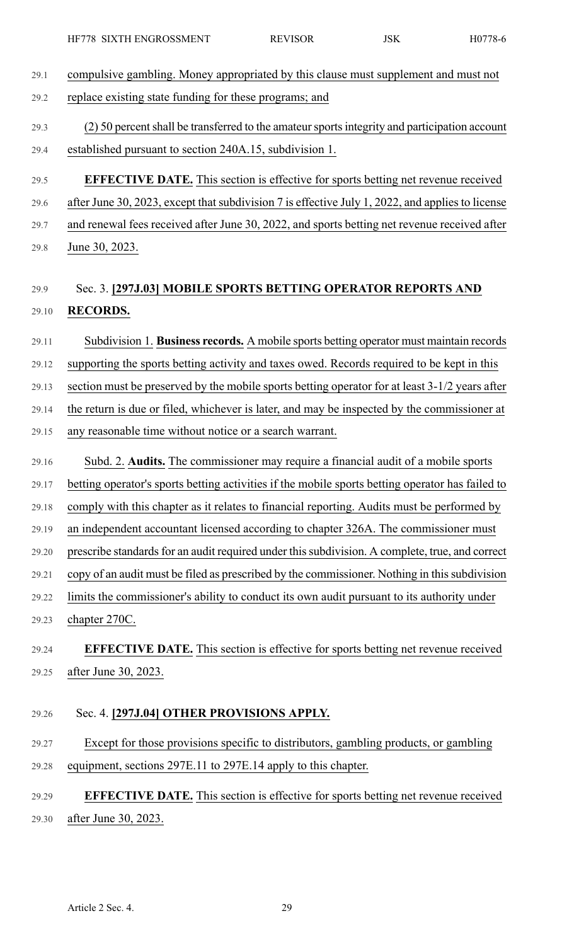- 29.1 compulsive gambling. Money appropriated by this clause must supplement and must not 29.2 replace existing state funding for these programs; and
- 29.3 (2) 50 percent shall be transferred to the amateur sports integrity and participation account 29.4 established pursuant to section 240A.15, subdivision 1.
- 29.5 **EFFECTIVE DATE.** This section is effective for sports betting net revenue received 29.6 after June 30, 2023, except that subdivision 7 is effective July 1, 2022, and applies to license
- 29.7 and renewal fees received after June 30, 2022, and sports betting net revenue received after
- 29.8 June 30, 2023.

# 29.9 Sec. 3. **[297J.03] MOBILE SPORTS BETTING OPERATOR REPORTS AND** 29.10 **RECORDS.**

29.11 Subdivision 1. **Business records.** A mobile sports betting operator must maintain records 29.12 supporting the sports betting activity and taxes owed. Records required to be kept in this 29.13 section must be preserved by the mobile sports betting operator for at least 3-1/2 years after 29.14 the return is due or filed, whichever is later, and may be inspected by the commissioner at 29.15 any reasonable time without notice or a search warrant.

- 29.16 Subd. 2. **Audits.** The commissioner may require a financial audit of a mobile sports
- 
- 29.17 betting operator's sports betting activities if the mobile sports betting operator has failed to
- 29.18 comply with this chapter as it relates to financial reporting. Audits must be performed by
- 29.19 an independent accountant licensed according to chapter 326A. The commissioner must
- 29.20 prescribe standards for an audit required under this subdivision. A complete, true, and correct
- 29.21 copy of an audit must be filed as prescribed by the commissioner. Nothing in this subdivision
- 29.22 limits the commissioner's ability to conduct its own audit pursuant to its authority under
- 29.23 chapter 270C.
- 29.24 **EFFECTIVE DATE.** This section is effective for sports betting net revenue received 29.25 after June 30, 2023.

# 29.26 Sec. 4. **[297J.04] OTHER PROVISIONS APPLY.**

29.27 Except for those provisions specific to distributors, gambling products, or gambling 29.28 equipment, sections 297E.11 to 297E.14 apply to this chapter.

# 29.29 **EFFECTIVE DATE.** This section is effective for sports betting net revenue received 29.30 after June 30, 2023.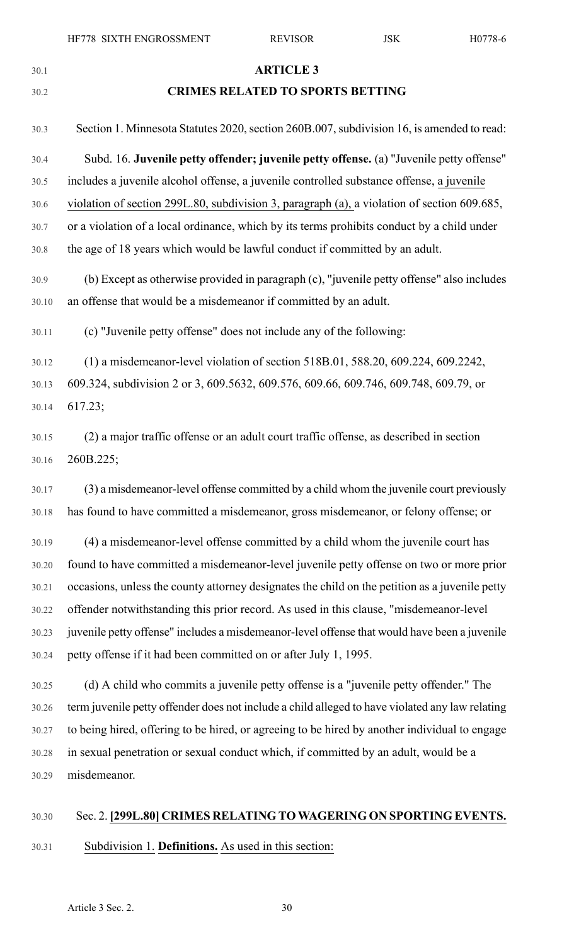# 30.1 **ARTICLE 3** 30.2 **CRIMES RELATED TO SPORTS BETTING** 30.3 Section 1. Minnesota Statutes 2020, section 260B.007, subdivision 16, is amended to read: 30.4 Subd. 16. **Juvenile petty offender; juvenile petty offense.** (a) "Juvenile petty offense" 30.5 includes a juvenile alcohol offense, a juvenile controlled substance offense, a juvenile 30.6 violation of section 299L.80, subdivision 3, paragraph (a), a violation of section 609.685, 30.7 or a violation of a local ordinance, which by its terms prohibits conduct by a child under 30.8 the age of 18 years which would be lawful conduct if committed by an adult. 30.9 (b) Except as otherwise provided in paragraph (c), "juvenile petty offense" also includes 30.10 an offense that would be a misdemeanor if committed by an adult. 30.11 (c) "Juvenile petty offense" does not include any of the following: 30.12 (1) a misdemeanor-level violation of section 518B.01, 588.20, 609.224, 609.2242, 30.13 609.324, subdivision 2 or 3, 609.5632, 609.576, 609.66, 609.746, 609.748, 609.79, or 30.14 617.23; 30.15 (2) a major traffic offense or an adult court traffic offense, as described in section 30.16 260B.225; 30.17 (3) a misdemeanor-level offense committed by a child whom the juvenile court previously 30.18 has found to have committed a misdemeanor, gross misdemeanor, or felony offense; or 30.19 (4) a misdemeanor-level offense committed by a child whom the juvenile court has 30.20 found to have committed a misdemeanor-level juvenile petty offense on two or more prior 30.21 occasions, unless the county attorney designates the child on the petition as a juvenile petty 30.22 offender notwithstanding this prior record. As used in this clause, "misdemeanor-level 30.23 juvenile petty offense" includes a misdemeanor-level offense that would have been a juvenile 30.24 petty offense if it had been committed on or after July 1, 1995. 30.25 (d) A child who commits a juvenile petty offense is a "juvenile petty offender." The 30.26 term juvenile petty offender does not include a child alleged to have violated any law relating 30.27 to being hired, offering to be hired, or agreeing to be hired by another individual to engage 30.28 in sexual penetration or sexual conduct which, if committed by an adult, would be a 30.29 misdemeanor.

#### 30.30 Sec. 2. **[299L.80] CRIMES RELATING TO WAGERING ON SPORTING EVENTS.**

30.31 Subdivision 1. **Definitions.** As used in this section: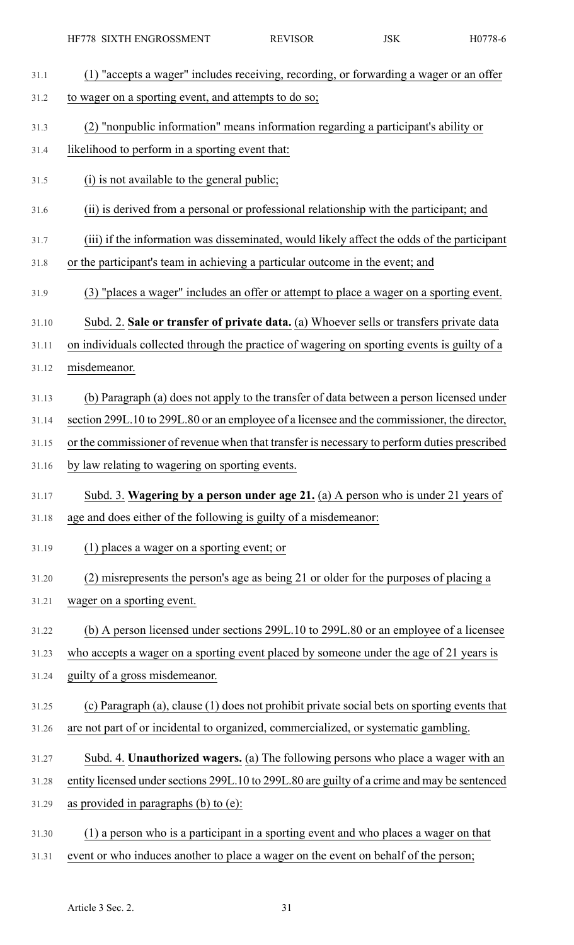| HF778 SIXTH ENGROSSMENT                                                                      | <b>REVISOR</b> | <b>JSK</b> | H0778-6 |
|----------------------------------------------------------------------------------------------|----------------|------------|---------|
| (1) "accepts a wager" includes receiving, recording, or forwarding a wager or an offer       |                |            |         |
| to wager on a sporting event, and attempts to do so;                                         |                |            |         |
| (2) "nonpublic information" means information regarding a participant's ability or           |                |            |         |
| likelihood to perform in a sporting event that:                                              |                |            |         |
| (i) is not available to the general public;                                                  |                |            |         |
| (ii) is derived from a personal or professional relationship with the participant; and       |                |            |         |
| (iii) if the information was disseminated, would likely affect the odds of the participant   |                |            |         |
| or the participant's team in achieving a particular outcome in the event; and                |                |            |         |
| (3) "places a wager" includes an offer or attempt to place a wager on a sporting event.      |                |            |         |
| Subd. 2. Sale or transfer of private data. (a) Whoever sells or transfers private data       |                |            |         |
| on individuals collected through the practice of wagering on sporting events is guilty of a  |                |            |         |
| misdemeanor.                                                                                 |                |            |         |
| (b) Paragraph (a) does not apply to the transfer of data between a person licensed under     |                |            |         |
| section 299L.10 to 299L.80 or an employee of a licensee and the commissioner, the director,  |                |            |         |
| or the commissioner of revenue when that transfer is necessary to perform duties prescribed  |                |            |         |
| by law relating to wagering on sporting events.                                              |                |            |         |
| Subd. 3. Wagering by a person under age 21. (a) A person who is under 21 years of            |                |            |         |
| age and does either of the following is guilty of a misdemeanor:                             |                |            |         |
| $(1)$ places a wager on a sporting event; or                                                 |                |            |         |
| (2) misrepresents the person's age as being 21 or older for the purposes of placing a        |                |            |         |
| wager on a sporting event.                                                                   |                |            |         |
| (b) A person licensed under sections 299L.10 to 299L.80 or an employee of a licensee         |                |            |         |
| who accepts a wager on a sporting event placed by someone under the age of 21 years is       |                |            |         |
| guilty of a gross misdemeanor.                                                               |                |            |         |
| (c) Paragraph (a), clause (1) does not prohibit private social bets on sporting events that  |                |            |         |
| are not part of or incidental to organized, commercialized, or systematic gambling.          |                |            |         |
| Subd. 4. Unauthorized wagers. (a) The following persons who place a wager with an            |                |            |         |
| entity licensed under sections 299L.10 to 299L.80 are guilty of a crime and may be sentenced |                |            |         |
| as provided in paragraphs $(b)$ to $(e)$ :                                                   |                |            |         |
| (1) a person who is a participant in a sporting event and who places a wager on that         |                |            |         |
| event or who induces another to place a wager on the event on behalf of the person;          |                |            |         |
|                                                                                              |                |            |         |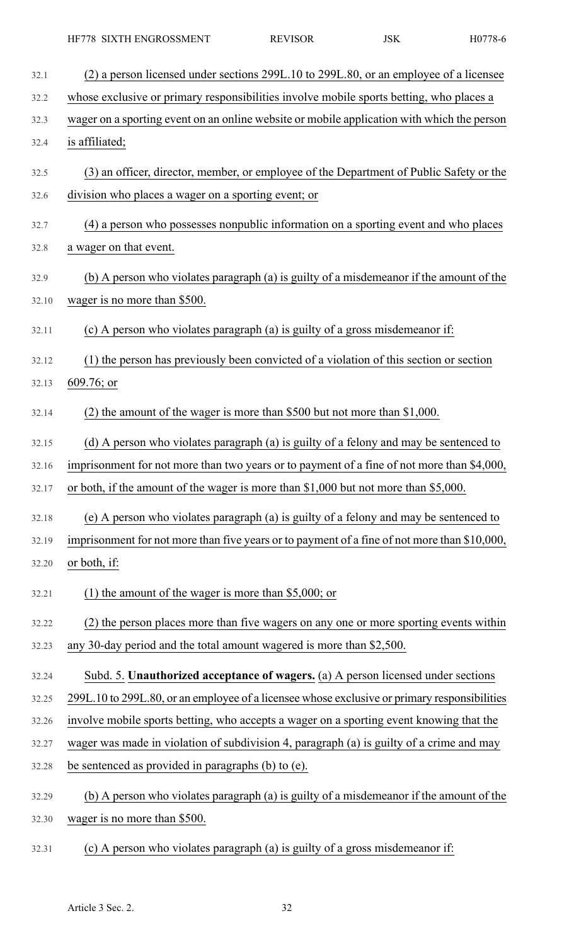| 32.1  | (2) a person licensed under sections 299L.10 to 299L.80, or an employee of a licensee        |
|-------|----------------------------------------------------------------------------------------------|
| 32.2  | whose exclusive or primary responsibilities involve mobile sports betting, who places a      |
| 32.3  | wager on a sporting event on an online website or mobile application with which the person   |
| 32.4  | is affiliated;                                                                               |
| 32.5  | (3) an officer, director, member, or employee of the Department of Public Safety or the      |
| 32.6  | division who places a wager on a sporting event; or                                          |
| 32.7  | (4) a person who possesses nonpublic information on a sporting event and who places          |
| 32.8  | a wager on that event.                                                                       |
| 32.9  | (b) A person who violates paragraph (a) is guilty of a misdemeanor if the amount of the      |
| 32.10 | wager is no more than \$500.                                                                 |
| 32.11 | (c) A person who violates paragraph (a) is guilty of a gross misdemeanor if:                 |
| 32.12 | (1) the person has previously been convicted of a violation of this section or section       |
| 32.13 | $609.76$ ; or                                                                                |
| 32.14 | (2) the amount of the wager is more than \$500 but not more than $$1,000$ .                  |
| 32.15 | (d) A person who violates paragraph (a) is guilty of a felony and may be sentenced to        |
| 32.16 | imprisonment for not more than two years or to payment of a fine of not more than \$4,000,   |
| 32.17 | or both, if the amount of the wager is more than \$1,000 but not more than \$5,000.          |
| 32.18 | (e) A person who violates paragraph (a) is guilty of a felony and may be sentenced to        |
| 32.19 | imprisonment for not more than five years or to payment of a fine of not more than \$10,000, |
| 32.20 | or both, if:                                                                                 |
| 32.21 | (1) the amount of the wager is more than \$5,000; or                                         |
| 32.22 | (2) the person places more than five wagers on any one or more sporting events within        |
| 32.23 | any 30-day period and the total amount wagered is more than \$2,500.                         |
| 32.24 | Subd. 5. Unauthorized acceptance of wagers. (a) A person licensed under sections             |
| 32.25 | 299L.10 to 299L.80, or an employee of a licensee whose exclusive or primary responsibilities |
| 32.26 | involve mobile sports betting, who accepts a wager on a sporting event knowing that the      |
| 32.27 | wager was made in violation of subdivision 4, paragraph (a) is guilty of a crime and may     |
| 32.28 | be sentenced as provided in paragraphs (b) to (e).                                           |
| 32.29 | (b) A person who violates paragraph (a) is guilty of a misdemeanor if the amount of the      |
| 32.30 | wager is no more than \$500.                                                                 |
| 32.31 | (c) A person who violates paragraph (a) is guilty of a gross misdemeanor if:                 |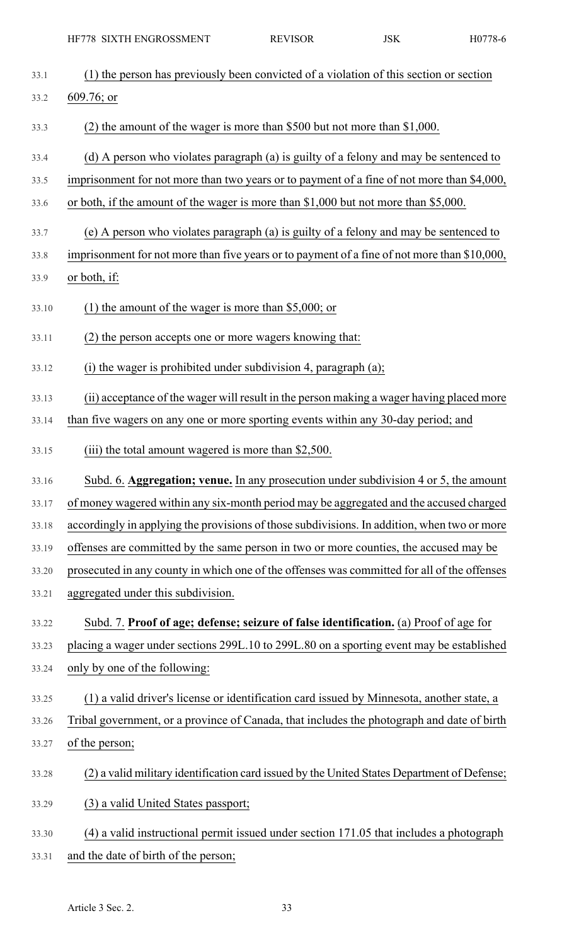| 33.1  | (1) the person has previously been convicted of a violation of this section or section       |
|-------|----------------------------------------------------------------------------------------------|
| 33.2  | $609.76$ ; or                                                                                |
| 33.3  | (2) the amount of the wager is more than \$500 but not more than $$1,000$ .                  |
| 33.4  | (d) A person who violates paragraph (a) is guilty of a felony and may be sentenced to        |
| 33.5  | imprisonment for not more than two years or to payment of a fine of not more than \$4,000,   |
| 33.6  | or both, if the amount of the wager is more than \$1,000 but not more than \$5,000.          |
| 33.7  | (e) A person who violates paragraph (a) is guilty of a felony and may be sentenced to        |
| 33.8  | imprisonment for not more than five years or to payment of a fine of not more than \$10,000, |
| 33.9  | or both, if:                                                                                 |
| 33.10 | (1) the amount of the wager is more than \$5,000; or                                         |
| 33.11 | (2) the person accepts one or more wagers knowing that:                                      |
| 33.12 | $(i)$ the wager is prohibited under subdivision 4, paragraph $(a)$ ;                         |
| 33.13 | (ii) acceptance of the wager will result in the person making a wager having placed more     |
| 33.14 | than five wagers on any one or more sporting events within any 30-day period; and            |
| 33.15 | (iii) the total amount wagered is more than \$2,500.                                         |
|       |                                                                                              |
| 33.16 | Subd. 6. Aggregation; venue. In any prosecution under subdivision 4 or 5, the amount         |
| 33.17 | of money wagered within any six-month period may be aggregated and the accused charged       |
| 33.18 | accordingly in applying the provisions of those subdivisions. In addition, when two or more  |
| 33.19 | offenses are committed by the same person in two or more counties, the accused may be        |
| 33.20 | prosecuted in any county in which one of the offenses was committed for all of the offenses  |
| 33.21 | aggregated under this subdivision.                                                           |
| 33.22 | Subd. 7. Proof of age; defense; seizure of false identification. (a) Proof of age for        |
| 33.23 | placing a wager under sections 299L.10 to 299L.80 on a sporting event may be established     |
| 33.24 | only by one of the following:                                                                |
| 33.25 | (1) a valid driver's license or identification card issued by Minnesota, another state, a    |
| 33.26 | Tribal government, or a province of Canada, that includes the photograph and date of birth   |
| 33.27 | of the person;                                                                               |
| 33.28 | (2) a valid military identification card issued by the United States Department of Defense;  |
| 33.29 | (3) a valid United States passport;                                                          |
| 33.30 | (4) a valid instructional permit issued under section 171.05 that includes a photograph      |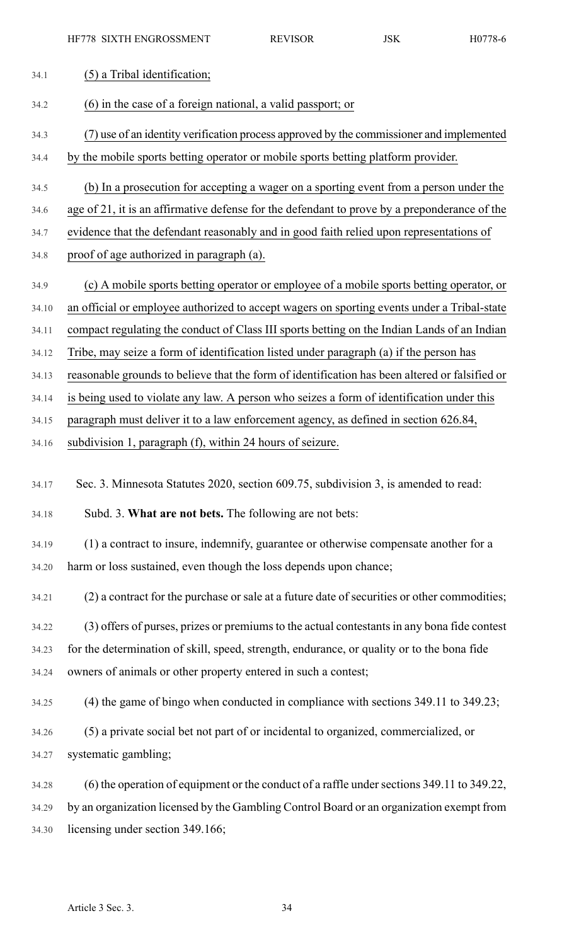| 34.1  | (5) a Tribal identification;                                                                   |
|-------|------------------------------------------------------------------------------------------------|
| 34.2  | (6) in the case of a foreign national, a valid passport; or                                    |
| 34.3  | (7) use of an identity verification process approved by the commissioner and implemented       |
| 34.4  | by the mobile sports betting operator or mobile sports betting platform provider.              |
| 34.5  | (b) In a prosecution for accepting a wager on a sporting event from a person under the         |
| 34.6  | age of 21, it is an affirmative defense for the defendant to prove by a preponderance of the   |
| 34.7  | evidence that the defendant reasonably and in good faith relied upon representations of        |
| 34.8  | proof of age authorized in paragraph (a).                                                      |
| 34.9  | (c) A mobile sports betting operator or employee of a mobile sports betting operator, or       |
| 34.10 | an official or employee authorized to accept wagers on sporting events under a Tribal-state    |
| 34.11 | compact regulating the conduct of Class III sports betting on the Indian Lands of an Indian    |
| 34.12 | Tribe, may seize a form of identification listed under paragraph (a) if the person has         |
| 34.13 | reasonable grounds to believe that the form of identification has been altered or falsified or |
| 34.14 | is being used to violate any law. A person who seizes a form of identification under this      |
| 34.15 | paragraph must deliver it to a law enforcement agency, as defined in section 626.84,           |
| 34.16 | subdivision 1, paragraph (f), within 24 hours of seizure.                                      |
| 34.17 | Sec. 3. Minnesota Statutes 2020, section 609.75, subdivision 3, is amended to read:            |
| 34.18 | Subd. 3. What are not bets. The following are not bets:                                        |
| 34.19 |                                                                                                |
|       | (1) a contract to insure, indemnify, guarantee or otherwise compensate another for a           |
| 34.20 | harm or loss sustained, even though the loss depends upon chance;                              |
| 34.21 | (2) a contract for the purchase or sale at a future date of securities or other commodities;   |
| 34.22 | (3) offers of purses, prizes or premiums to the actual contestants in any bona fide contest    |
| 34.23 | for the determination of skill, speed, strength, endurance, or quality or to the bona fide     |
| 34.24 | owners of animals or other property entered in such a contest;                                 |
| 34.25 | $(4)$ the game of bingo when conducted in compliance with sections 349.11 to 349.23;           |
| 34.26 | (5) a private social bet not part of or incidental to organized, commercialized, or            |
| 34.27 | systematic gambling;                                                                           |
| 34.28 | (6) the operation of equipment or the conduct of a raffle under sections 349.11 to 349.22,     |
| 34.29 | by an organization licensed by the Gambling Control Board or an organization exempt from       |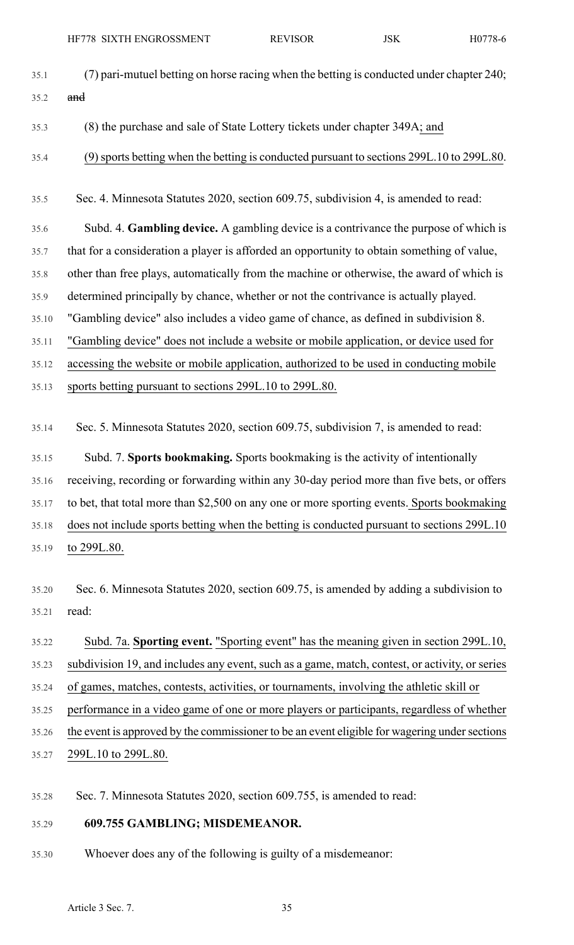| 35.1  | (7) pari-mutuel betting on horse racing when the betting is conducted under chapter 240;       |
|-------|------------------------------------------------------------------------------------------------|
| 35.2  | and                                                                                            |
| 35.3  | (8) the purchase and sale of State Lottery tickets under chapter 349A; and                     |
| 35.4  | (9) sports betting when the betting is conducted pursuant to sections 299L.10 to 299L.80.      |
| 35.5  | Sec. 4. Minnesota Statutes 2020, section 609.75, subdivision 4, is amended to read:            |
| 35.6  | Subd. 4. Gambling device. A gambling device is a contrivance the purpose of which is           |
| 35.7  | that for a consideration a player is afforded an opportunity to obtain something of value,     |
| 35.8  | other than free plays, automatically from the machine or otherwise, the award of which is      |
| 35.9  | determined principally by chance, whether or not the contrivance is actually played.           |
| 35.10 | "Gambling device" also includes a video game of chance, as defined in subdivision 8.           |
| 35.11 | "Gambling device" does not include a website or mobile application, or device used for         |
| 35.12 | accessing the website or mobile application, authorized to be used in conducting mobile        |
| 35.13 | sports betting pursuant to sections 299L.10 to 299L.80.                                        |
| 35.14 | Sec. 5. Minnesota Statutes 2020, section 609.75, subdivision 7, is amended to read:            |
| 35.15 | Subd. 7. Sports bookmaking. Sports bookmaking is the activity of intentionally                 |
| 35.16 | receiving, recording or forwarding within any 30-day period more than five bets, or offers     |
| 35.17 | to bet, that total more than \$2,500 on any one or more sporting events. Sports bookmaking     |
| 35.18 | does not include sports betting when the betting is conducted pursuant to sections 299L.10     |
| 35.19 | to 299L.80.                                                                                    |
| 35.20 | Sec. 6. Minnesota Statutes 2020, section 609.75, is amended by adding a subdivision to         |
| 35.21 | read:                                                                                          |
| 35.22 | Subd. 7a. Sporting event. "Sporting event" has the meaning given in section 299L.10,           |
| 35.23 | subdivision 19, and includes any event, such as a game, match, contest, or activity, or series |
| 35.24 | of games, matches, contests, activities, or tournaments, involving the athletic skill or       |
| 35.25 | performance in a video game of one or more players or participants, regardless of whether      |
| 35.26 | the event is approved by the commissioner to be an event eligible for wagering under sections  |
| 35.27 | 299L.10 to 299L.80.                                                                            |
| 35.28 | Sec. 7. Minnesota Statutes 2020, section 609.755, is amended to read:                          |
| 35.29 | 609.755 GAMBLING; MISDEMEANOR.                                                                 |
| 35.30 | Whoever does any of the following is guilty of a misdemeanor:                                  |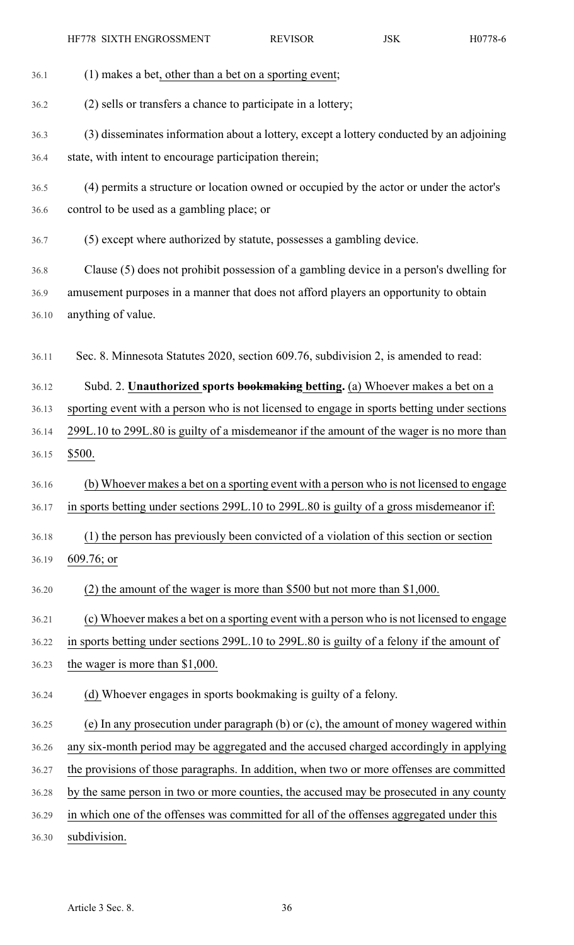36.1 (1) makes a bet, other than a bet on a sporting event; 36.2 (2) sells or transfers a chance to participate in a lottery; 36.3 (3) disseminates information about a lottery, except a lottery conducted by an adjoining 36.4 state, with intent to encourage participation therein; 36.5 (4) permits a structure or location owned or occupied by the actor or under the actor's 36.6 control to be used as a gambling place; or 36.7 (5) except where authorized by statute, possesses a gambling device. 36.8 Clause (5) does not prohibit possession of a gambling device in a person's dwelling for 36.9 amusement purposes in a manner that does not afford players an opportunity to obtain 36.10 anything of value. 36.11 Sec. 8. Minnesota Statutes 2020, section 609.76, subdivision 2, is amended to read: 36.12 Subd. 2. **Unauthorized sports bookmaking betting.** (a) Whoever makes a bet on a 36.13 sporting event with a person who is not licensed to engage in sports betting under sections 36.14 299L.10 to 299L.80 is guilty of a misdemeanor if the amount of the wager is no more than 36.15 \$500. 36.16 (b) Whoever makes a bet on a sporting event with a person who is not licensed to engage 36.17 in sports betting under sections 299L.10 to 299L.80 is guilty of a gross misdemeanor if: 36.18 (1) the person has previously been convicted of a violation of this section or section 36.19 609.76; or 36.20 (2) the amount of the wager is more than \$500 but not more than \$1,000. 36.21 (c) Whoever makes a bet on a sporting event with a person who is not licensed to engage 36.22 in sports betting under sections 299L.10 to 299L.80 is guilty of a felony if the amount of 36.23 the wager is more than \$1,000. 36.24 (d) Whoever engages in sports bookmaking is guilty of a felony. 36.25 (e) In any prosecution under paragraph (b) or (c), the amount of money wagered within 36.26 any six-month period may be aggregated and the accused charged accordingly in applying 36.27 the provisions of those paragraphs. In addition, when two or more offenses are committed 36.28 by the same person in two or more counties, the accused may be prosecuted in any county 36.29 in which one of the offenses was committed for all of the offenses aggregated under this 36.30 subdivision.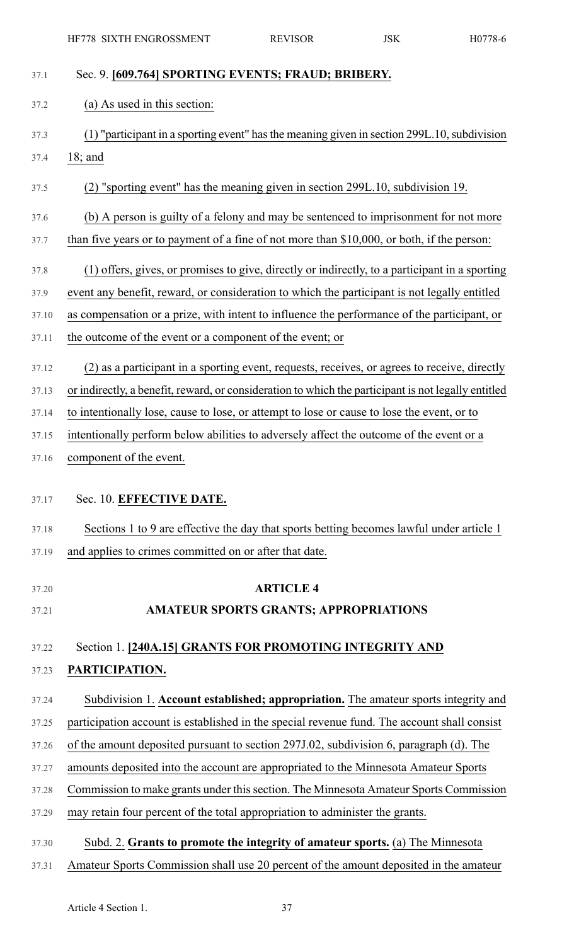| Sec. 9. [609.764] SPORTING EVENTS; FRAUD; BRIBERY.                                                  |
|-----------------------------------------------------------------------------------------------------|
| (a) As used in this section:                                                                        |
| (1) "participant in a sporting event" has the meaning given in section 299L.10, subdivision         |
| $18;$ and                                                                                           |
| (2) "sporting event" has the meaning given in section 299L.10, subdivision 19.                      |
| (b) A person is guilty of a felony and may be sentenced to imprisonment for not more                |
| than five years or to payment of a fine of not more than \$10,000, or both, if the person:          |
| (1) offers, gives, or promises to give, directly or indirectly, to a participant in a sporting      |
| event any benefit, reward, or consideration to which the participant is not legally entitled        |
| as compensation or a prize, with intent to influence the performance of the participant, or         |
| the outcome of the event or a component of the event; or                                            |
| (2) as a participant in a sporting event, requests, receives, or agrees to receive, directly        |
| or indirectly, a benefit, reward, or consideration to which the participant is not legally entitled |
| to intentionally lose, cause to lose, or attempt to lose or cause to lose the event, or to          |
| intentionally perform below abilities to adversely affect the outcome of the event or a             |
| component of the event.                                                                             |
| Sec. 10. EFFECTIVE DATE.                                                                            |
| Sections 1 to 9 are effective the day that sports betting becomes lawful under article 1            |
| and applies to crimes committed on or after that date.                                              |
| <b>ARTICLE 4</b>                                                                                    |
| <b>AMATEUR SPORTS GRANTS; APPROPRIATIONS</b>                                                        |
| Section 1. [240A.15] GRANTS FOR PROMOTING INTEGRITY AND                                             |
| PARTICIPATION.                                                                                      |
| Subdivision 1. Account established; appropriation. The amateur sports integrity and                 |
| participation account is established in the special revenue fund. The account shall consist         |
| of the amount deposited pursuant to section 297J.02, subdivision 6, paragraph (d). The              |
| amounts deposited into the account are appropriated to the Minnesota Amateur Sports                 |
| Commission to make grants under this section. The Minnesota Amateur Sports Commission               |
| may retain four percent of the total appropriation to administer the grants.                        |
| Subd. 2. Grants to promote the integrity of amateur sports. (a) The Minnesota                       |
| Amateur Sports Commission shall use 20 percent of the amount deposited in the amateur               |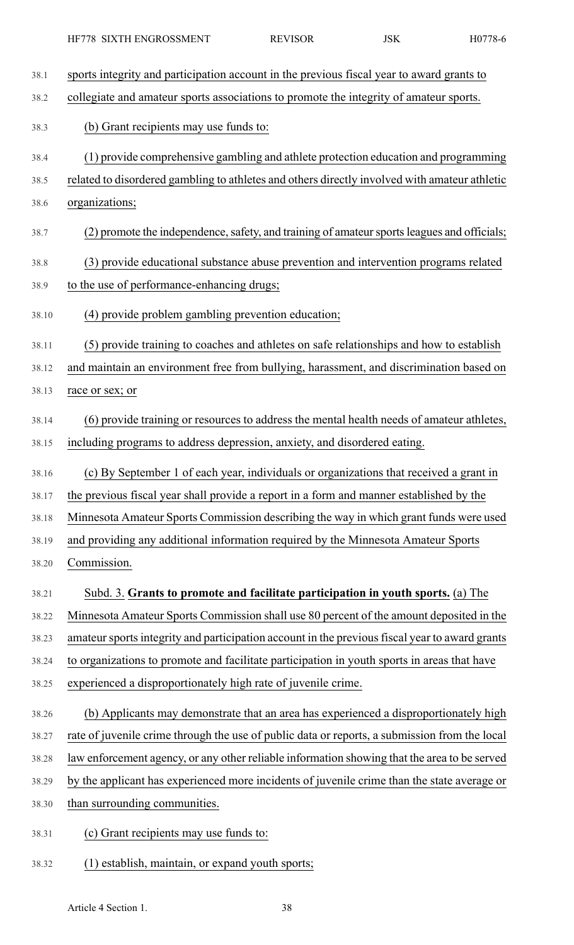38.1 sports integrity and participation account in the previous fiscal year to award grants to 38.2 collegiate and amateur sports associations to promote the integrity of amateur sports. 38.3 (b) Grant recipients may use funds to: 38.4 (1) provide comprehensive gambling and athlete protection education and programming 38.5 related to disordered gambling to athletes and others directly involved with amateur athletic 38.6 organizations; 38.7 (2) promote the independence, safety, and training of amateur sports leagues and officials; 38.8 (3) provide educational substance abuse prevention and intervention programs related 38.9 to the use of performance-enhancing drugs; 38.10 (4) provide problem gambling prevention education; 38.11 (5) provide training to coaches and athletes on safe relationships and how to establish 38.12 and maintain an environment free from bullying, harassment, and discrimination based on 38.13 race or sex; or 38.14 (6) provide training or resources to address the mental health needs of amateur athletes, 38.15 including programs to address depression, anxiety, and disordered eating. 38.16 (c) By September 1 of each year, individuals or organizations that received a grant in 38.17 the previous fiscal year shall provide a report in a form and manner established by the 38.18 Minnesota Amateur Sports Commission describing the way in which grant funds were used 38.19 and providing any additional information required by the Minnesota Amateur Sports 38.20 Commission. 38.21 Subd. 3. **Grants to promote and facilitate participation in youth sports.** (a) The 38.22 Minnesota Amateur Sports Commission shall use 80 percent of the amount deposited in the 38.23 amateur sports integrity and participation account in the previous fiscal year to award grants 38.24 to organizations to promote and facilitate participation in youth sports in areas that have 38.25 experienced a disproportionately high rate of juvenile crime. 38.26 (b) Applicants may demonstrate that an area has experienced a disproportionately high 38.27 rate of juvenile crime through the use of public data or reports, a submission from the local 38.28 law enforcement agency, or any other reliable information showing that the area to be served 38.29 by the applicant has experienced more incidents of juvenile crime than the state average or 38.30 than surrounding communities. 38.31 (c) Grant recipients may use funds to:

38.32 (1) establish, maintain, or expand youth sports;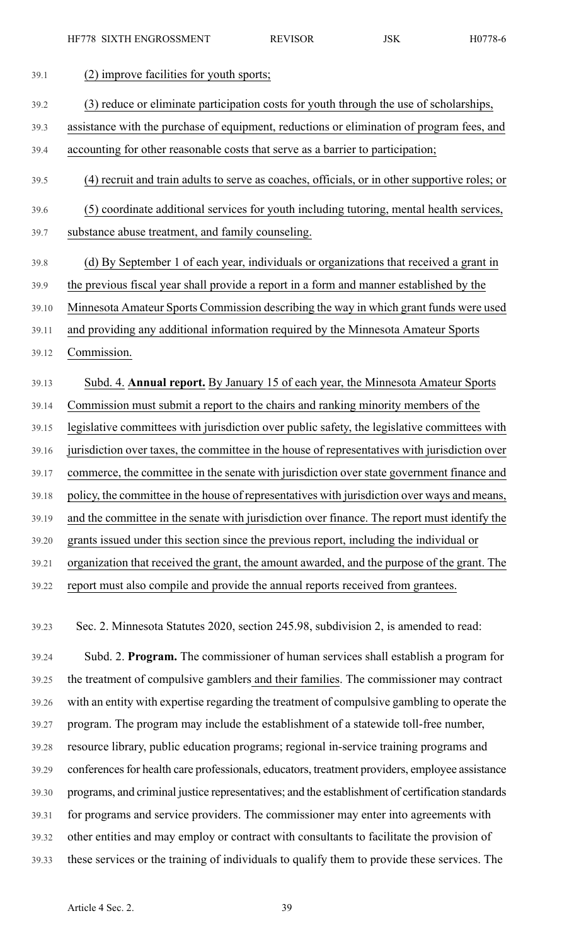| 39.1  | (2) improve facilities for youth sports;                                                       |
|-------|------------------------------------------------------------------------------------------------|
| 39.2  | (3) reduce or eliminate participation costs for youth through the use of scholarships,         |
| 39.3  | assistance with the purchase of equipment, reductions or elimination of program fees, and      |
| 39.4  | accounting for other reasonable costs that serve as a barrier to participation;                |
| 39.5  | (4) recruit and train adults to serve as coaches, officials, or in other supportive roles; or  |
| 39.6  | (5) coordinate additional services for youth including tutoring, mental health services,       |
| 39.7  | substance abuse treatment, and family counseling.                                              |
| 39.8  | (d) By September 1 of each year, individuals or organizations that received a grant in         |
| 39.9  | the previous fiscal year shall provide a report in a form and manner established by the        |
| 39.10 | Minnesota Amateur Sports Commission describing the way in which grant funds were used          |
| 39.11 | and providing any additional information required by the Minnesota Amateur Sports              |
| 39.12 | Commission.                                                                                    |
| 39.13 | Subd. 4. Annual report. By January 15 of each year, the Minnesota Amateur Sports               |
| 39.14 | Commission must submit a report to the chairs and ranking minority members of the              |
| 39.15 | legislative committees with jurisdiction over public safety, the legislative committees with   |
| 39.16 | jurisdiction over taxes, the committee in the house of representatives with jurisdiction over  |
| 39.17 | commerce, the committee in the senate with jurisdiction over state government finance and      |
| 39.18 | policy, the committee in the house of representatives with jurisdiction over ways and means,   |
| 39.19 | and the committee in the senate with jurisdiction over finance. The report must identify the   |
| 39.20 | grants issued under this section since the previous report, including the individual or        |
| 39.21 | organization that received the grant, the amount awarded, and the purpose of the grant. The    |
| 39.22 | report must also compile and provide the annual reports received from grantees.                |
|       |                                                                                                |
| 39.23 | Sec. 2. Minnesota Statutes 2020, section 245.98, subdivision 2, is amended to read:            |
| 39.24 | Subd. 2. Program. The commissioner of human services shall establish a program for             |
| 39.25 | the treatment of compulsive gamblers and their families. The commissioner may contract         |
| 39.26 | with an entity with expertise regarding the treatment of compulsive gambling to operate the    |
| 39.27 | program. The program may include the establishment of a statewide toll-free number,            |
| 39.28 | resource library, public education programs; regional in-service training programs and         |
| 39.29 | conferences for health care professionals, educators, treatment providers, employee assistance |

39.30 programs, and criminal justice representatives; and the establishment of certification standards

- 39.31 for programs and service providers. The commissioner may enter into agreements with
- 39.32 other entities and may employ or contract with consultants to facilitate the provision of
- 39.33 these services or the training of individuals to qualify them to provide these services. The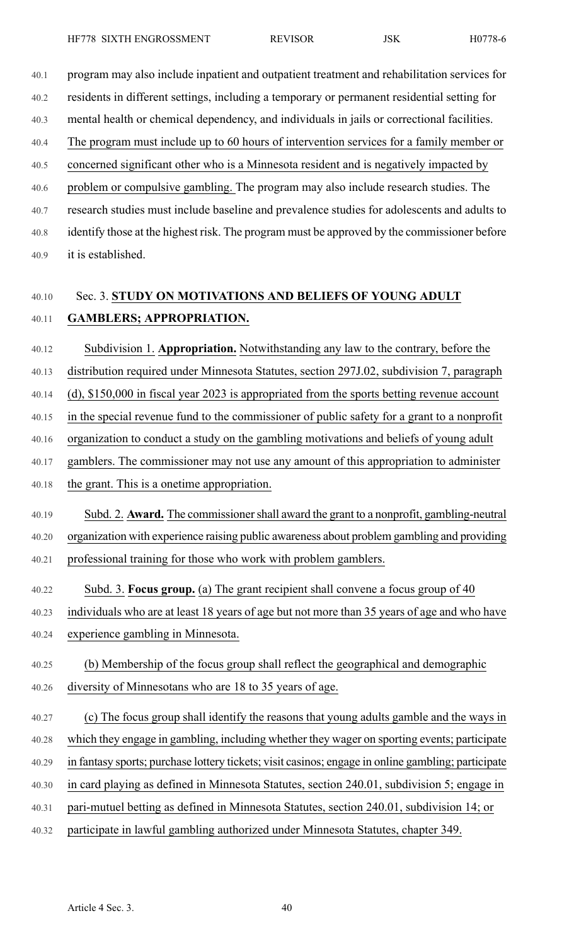40.1 program may also include inpatient and outpatient treatment and rehabilitation services for

40.2 residents in different settings, including a temporary or permanent residential setting for 40.3 mental health or chemical dependency, and individuals in jails or correctional facilities.

- 40.4 The program must include up to 60 hours of intervention services for a family member or
- 40.5 concerned significant other who is a Minnesota resident and is negatively impacted by

40.6 problem or compulsive gambling. The program may also include research studies. The 40.7 research studies must include baseline and prevalence studies for adolescents and adults to 40.8 identify those at the highest risk. The program must be approved by the commissioner before 40.9 it is established.

# 40.10 Sec. 3. **STUDY ON MOTIVATIONS AND BELIEFS OF YOUNG ADULT** 40.11 **GAMBLERS; APPROPRIATION.**

40.12 Subdivision 1. **Appropriation.** Notwithstanding any law to the contrary, before the

40.13 distribution required under Minnesota Statutes, section 297J.02, subdivision 7, paragraph

40.14 (d), \$150,000 in fiscal year 2023 is appropriated from the sports betting revenue account

40.15 in the special revenue fund to the commissioner of public safety for a grant to a nonprofit

40.16 organization to conduct a study on the gambling motivations and beliefs of young adult

40.17 gamblers. The commissioner may not use any amount of this appropriation to administer

- 40.18 the grant. This is a onetime appropriation.
- 40.19 Subd. 2. **Award.** The commissionershall award the grant to a nonprofit, gambling-neutral 40.20 organization with experience raising public awareness about problem gambling and providing 40.21 professional training for those who work with problem gamblers.
- 40.22 Subd. 3. **Focus group.** (a) The grant recipient shall convene a focus group of 40
- 40.23 individuals who are at least 18 years of age but not more than 35 years of age and who have 40.24 experience gambling in Minnesota.
- 40.25 (b) Membership of the focus group shall reflect the geographical and demographic 40.26 diversity of Minnesotans who are 18 to 35 years of age.
- 40.27 (c) The focus group shall identify the reasons that young adults gamble and the ways in 40.28 which they engage in gambling, including whether they wager on sporting events; participate 40.29 in fantasy sports; purchase lottery tickets; visit casinos; engage in online gambling; participate 40.30 in card playing as defined in Minnesota Statutes, section 240.01, subdivision 5; engage in 40.31 pari-mutuel betting as defined in Minnesota Statutes, section 240.01, subdivision 14; or
- 40.32 participate in lawful gambling authorized under Minnesota Statutes, chapter 349.